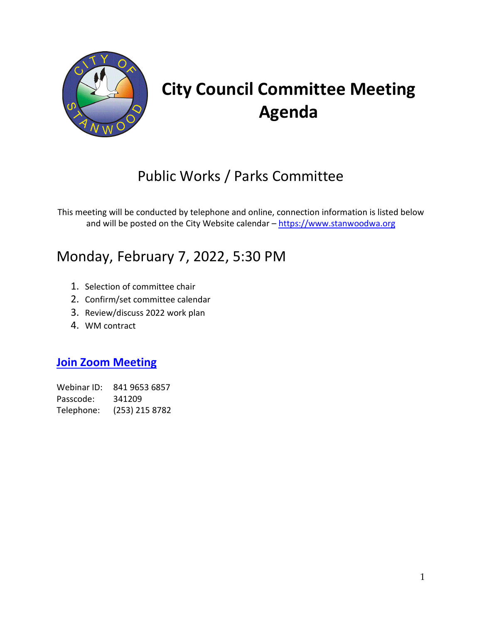

# **City Council Committee Meeting Agenda**

## Public Works / Parks Committee

This meeting will be conducted by telephone and online, connection information is listed below and will be posted on the City Website calendar - [https://www.stanwoodwa.org](https://www.stanwoodwa.org/)

## Monday, February 7, 2022, 5:30 PM

- 1. Selection of committee chair
- 2. Confirm/set committee calendar
- 3. Review/discuss 2022 work plan
- 4. WM contract

### **[Join Zoom Meeting](https://us02web.zoom.us/j/84196536857?pwd=M1Z5c01Wc1BHSFlIaHZMSGJsTlVQQT09#success)**

Webinar ID: 841 9653 6857 Passcode: 341209 Telephone: (253) 215 8782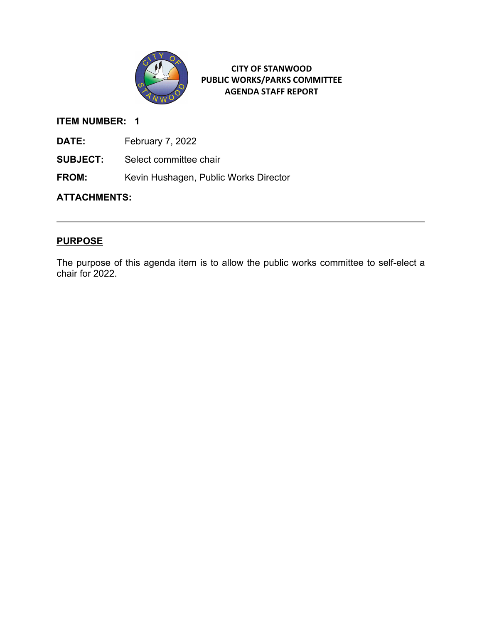

### **ITEM NUMBER: 1**

- **DATE:** February 7, 2022
- **SUBJECT:** Select committee chair
- **FROM:** Kevin Hushagen, Public Works Director

### **ATTACHMENTS:**

### **PURPOSE**

The purpose of this agenda item is to allow the public works committee to self-elect a chair for 2022.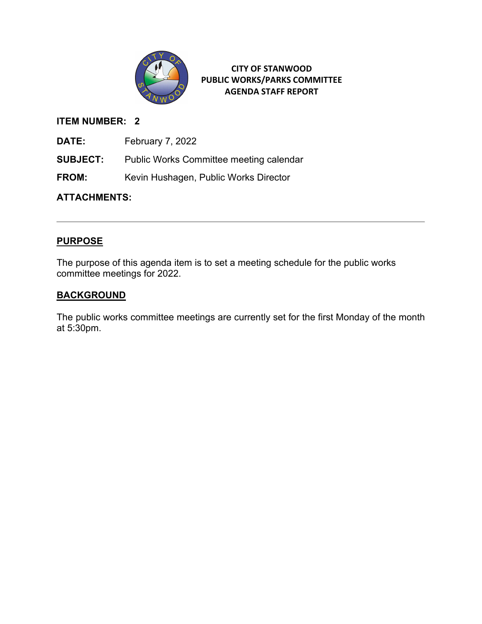

### **ITEM NUMBER: 2**

**DATE:** February 7, 2022

**SUBJECT:** Public Works Committee meeting calendar

**FROM:** Kevin Hushagen, Public Works Director

### **ATTACHMENTS:**

### **PURPOSE**

The purpose of this agenda item is to set a meeting schedule for the public works committee meetings for 2022.

### **BACKGROUND**

The public works committee meetings are currently set for the first Monday of the month at 5:30pm.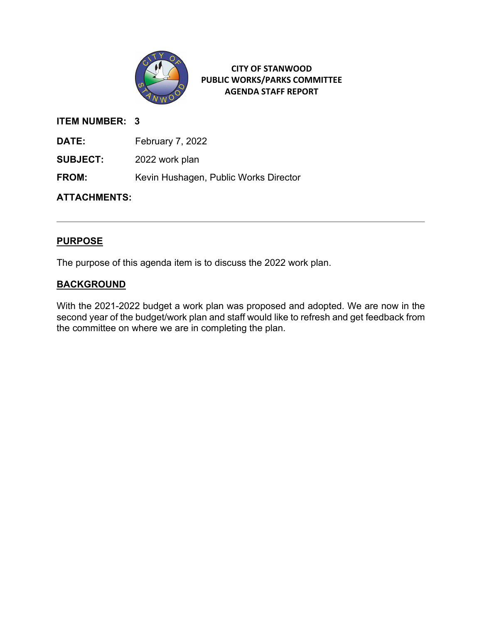

### **ITEM NUMBER: 3**

**DATE:** February 7, 2022

**SUBJECT:** 2022 work plan

**FROM:** Kevin Hushagen, Public Works Director

**ATTACHMENTS:**

### **PURPOSE**

The purpose of this agenda item is to discuss the 2022 work plan.

### **BACKGROUND**

With the 2021-2022 budget a work plan was proposed and adopted. We are now in the second year of the budget/work plan and staff would like to refresh and get feedback from the committee on where we are in completing the plan.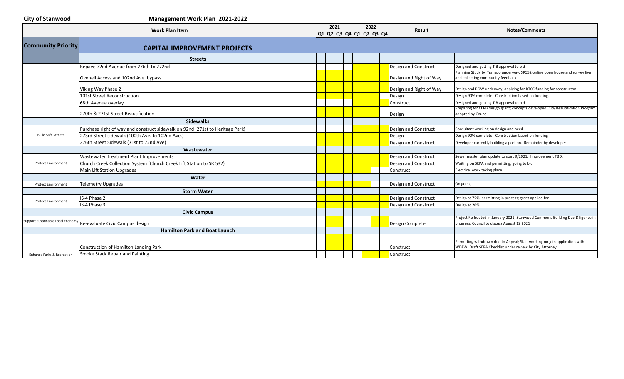| <b>City of Stanwood</b>               | Management Work Plan 2021-2022                                                |                                 |  |      |                             |                                                                                                                                        |
|---------------------------------------|-------------------------------------------------------------------------------|---------------------------------|--|------|-----------------------------|----------------------------------------------------------------------------------------------------------------------------------------|
|                                       | <b>Work Plan Item</b>                                                         | 2021<br>Q1 Q2 Q3 Q4 Q1 Q2 Q3 Q4 |  | 2022 | Result                      | Notes/Comments                                                                                                                         |
| <b>Community Priority</b>             | <b>CAPITAL IMPROVEMENT PROJECTS</b>                                           |                                 |  |      |                             |                                                                                                                                        |
|                                       | <b>Streets</b>                                                                |                                 |  |      |                             |                                                                                                                                        |
|                                       | Repave 72nd Avenue from 276th to 272nd                                        |                                 |  |      | Design and Construct        | Designed and getting TIB approval to bid                                                                                               |
|                                       | Ovenell Access and 102nd Ave. bypass                                          |                                 |  |      | Design and Right of Way     | Planning Study by Transpo underway; SR532 online open house and survey live<br>and collecting community feedback                       |
|                                       | Viking Way Phase 2                                                            |                                 |  |      | Design and Right of Way     | Design and ROW underway; applying for RTCC funding for constructon                                                                     |
|                                       | 101st Street Reconstruction                                                   |                                 |  |      | Design                      | Design 90% complete. Construction based on funding.                                                                                    |
|                                       | 68th Avenue overlay                                                           |                                 |  |      | Construct                   | Designed and getting TIB approval to bid<br>Preparing for CERB design grant; concepts developed; City Beautification Program           |
|                                       | 270th & 271st Street Beautification                                           |                                 |  |      | Design                      | adopted by Council                                                                                                                     |
|                                       | <b>Sidewalks</b>                                                              |                                 |  |      |                             |                                                                                                                                        |
|                                       | Purchase right of way and construct sidewalk on 92nd (271st to Heritage Park) |                                 |  |      | Design and Construct        | Consultant working on design and need                                                                                                  |
| <b>Build Safe Streets</b>             | 273rd Street sidewalk (100th Ave. to 102nd Ave.)                              |                                 |  |      | Design                      | Design 90% complete. Construction based on funding                                                                                     |
|                                       | 276th Street Sidewalk (71st to 72nd Ave)                                      |                                 |  |      | Design and Construct        | Developer currently building a portion. Remainder by developer.                                                                        |
|                                       | Wastewater                                                                    |                                 |  |      |                             |                                                                                                                                        |
|                                       | Wastewater Treatment Plant Improvements                                       |                                 |  |      | <b>Design and Construct</b> | Sewer master plan update to start 9/2021. Improvement TBD.                                                                             |
| <b>Protect Environment</b>            | Church Creek Collection System (Church Creek Lift Station to SR 532)          |                                 |  |      | Design and Construct        | Waiting on SEPA and permitting; going to bid                                                                                           |
|                                       | Main Lift Station Upgrades                                                    |                                 |  |      | Construct                   | Electrical work taking place                                                                                                           |
|                                       | Water                                                                         |                                 |  |      |                             |                                                                                                                                        |
| <b>Protect Environment</b>            | <b>Telemetry Upgrades</b>                                                     |                                 |  |      | Design and Construct        | On going                                                                                                                               |
|                                       | <b>Storm Water</b>                                                            |                                 |  |      |                             |                                                                                                                                        |
| <b>Protect Environment</b>            | IS-4 Phase 2                                                                  |                                 |  |      | Design and Construct        | Design at 75%, permitting in process; grant applied for                                                                                |
|                                       | IS-4 Phase 3                                                                  |                                 |  |      | Design and Construct        | Design at 20%.                                                                                                                         |
|                                       | <b>Civic Campus</b>                                                           |                                 |  |      |                             |                                                                                                                                        |
| Support Sustainable Local Econom      | Re-evaluate Civic Campus design                                               |                                 |  |      | Design Complete             | Project Re-booted in January 2021; Stanwood Commons Building Due Diligence in<br>progress. Council to discuss August 12 2021           |
|                                       | <b>Hamilton Park and Boat Launch</b>                                          |                                 |  |      |                             |                                                                                                                                        |
|                                       | Construction of Hamilton Landing Park                                         |                                 |  |      | Construct                   | Permitting withdrawn due to Appeal; Staff working on join application with<br>WDFW; Draft SEPA Checklist under review by City Attorney |
| <b>Enhance Parks &amp; Recreation</b> | Smoke Stack Repair and Painting                                               |                                 |  |      | Construct                   |                                                                                                                                        |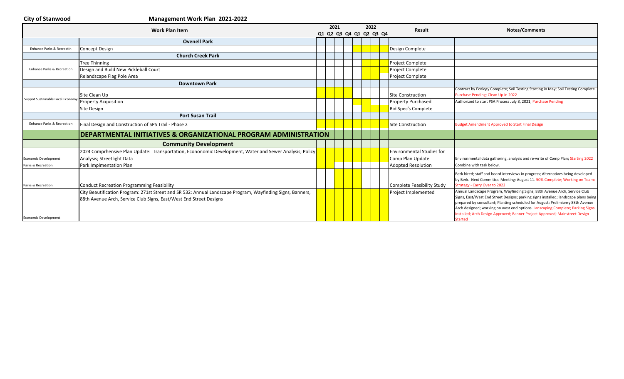| <b>City of Stanwood</b>               | Management Work Plan 2021-2022                                                                                                                                                   |                                 |  |      |                                  |                                                                                                                                                                                                                                                                                                                                                                                                                                 |
|---------------------------------------|----------------------------------------------------------------------------------------------------------------------------------------------------------------------------------|---------------------------------|--|------|----------------------------------|---------------------------------------------------------------------------------------------------------------------------------------------------------------------------------------------------------------------------------------------------------------------------------------------------------------------------------------------------------------------------------------------------------------------------------|
|                                       | <b>Work Plan Item</b>                                                                                                                                                            | 2021<br>Q1 Q2 Q3 Q4 Q1 Q2 Q3 Q4 |  | 2022 | <b>Result</b>                    | <b>Notes/Comments</b>                                                                                                                                                                                                                                                                                                                                                                                                           |
|                                       | <b>Ovenell Park</b>                                                                                                                                                              |                                 |  |      |                                  |                                                                                                                                                                                                                                                                                                                                                                                                                                 |
| Enhance Parks & Recreati              | <b>Concept Design</b>                                                                                                                                                            |                                 |  |      | Design Complete                  |                                                                                                                                                                                                                                                                                                                                                                                                                                 |
|                                       | <b>Church Creek Park</b>                                                                                                                                                         |                                 |  |      |                                  |                                                                                                                                                                                                                                                                                                                                                                                                                                 |
|                                       | <b>Tree Thinning</b>                                                                                                                                                             |                                 |  |      | Project Complete                 |                                                                                                                                                                                                                                                                                                                                                                                                                                 |
| Enhance Parks & Recreation            | Design and Build New Pickleball Court                                                                                                                                            |                                 |  |      | Project Complete                 |                                                                                                                                                                                                                                                                                                                                                                                                                                 |
|                                       | Relandscape Flag Pole Area                                                                                                                                                       |                                 |  |      | <b>Project Complete</b>          |                                                                                                                                                                                                                                                                                                                                                                                                                                 |
|                                       | <b>Downtown Park</b>                                                                                                                                                             |                                 |  |      |                                  |                                                                                                                                                                                                                                                                                                                                                                                                                                 |
|                                       | Site Clean Up                                                                                                                                                                    |                                 |  |      | <b>Site Construction</b>         | Contract by Ecology Complete; Soil Testing Starting in May; Soil Testing Complete.<br>Purchase Pending; Clean Up in 2022                                                                                                                                                                                                                                                                                                        |
| Suppot Sustainable Local Economy      | <b>Property Acquisition</b>                                                                                                                                                      |                                 |  |      | <b>Property Purchased</b>        | Authorized to start PSA Process July 8, 2021; Purchase Pending                                                                                                                                                                                                                                                                                                                                                                  |
|                                       | <b>Site Design</b>                                                                                                                                                               |                                 |  |      | <b>Bid Spec's Complete</b>       |                                                                                                                                                                                                                                                                                                                                                                                                                                 |
|                                       | <b>Port Susan Trail</b>                                                                                                                                                          |                                 |  |      |                                  |                                                                                                                                                                                                                                                                                                                                                                                                                                 |
| <b>Enhance Parks &amp; Recreation</b> | Final Design and Construction of SPS Trail - Phase 2                                                                                                                             |                                 |  |      | Site Construction                | <b>Budget Amendment Approved to Start Final Design</b>                                                                                                                                                                                                                                                                                                                                                                          |
|                                       | DEPARTMENTAL INITIATIVES & ORGANIZATIONAL PROGRAM ADMINISTRATION                                                                                                                 |                                 |  |      |                                  |                                                                                                                                                                                                                                                                                                                                                                                                                                 |
|                                       | <b>Community Development</b>                                                                                                                                                     |                                 |  |      |                                  |                                                                                                                                                                                                                                                                                                                                                                                                                                 |
|                                       | 2024 Comprhensive Plan Update: Transportation, Econonomic Development, Water and Sewer Analysis; Policy                                                                          |                                 |  |      | <b>Environmental Studies for</b> |                                                                                                                                                                                                                                                                                                                                                                                                                                 |
| Economic Development                  | Analysis; Streetlight Data                                                                                                                                                       |                                 |  |      | Comp Plan Update                 | Environmental data gathering, analysis and re-write of Comp Plan; Starting 2022                                                                                                                                                                                                                                                                                                                                                 |
| Parks & Recreation                    | Park Implmentation Plan                                                                                                                                                          |                                 |  |      | <b>Adopted Resolution</b>        | Combine with task below.                                                                                                                                                                                                                                                                                                                                                                                                        |
| Parks & Recreation                    | Conduct Recreation Programming Feasibility                                                                                                                                       |                                 |  |      | Complete Feasibility Study       | Berk hired; staff and board interviews in progress; Alternatives being developed<br>by Berk. Next Committee Meeting: August 11. 50% Complete; Working on Teams<br>Strategy - Carry Over to 2022                                                                                                                                                                                                                                 |
| <b>Economic Development</b>           | City Beautification Program: 271st Street and SR 532: Annual Landscape Program, Wayfinding Signs, Banners,<br>88th Avenue Arch, Service Club Signs, East/West End Street Designs |                                 |  |      | Project Implemented              | Annual Landscape Program, Wayfinding Signs, 88th Avenue Arch, Service Club<br>Signs, East/West End Street Designs; parking signs installed; landscape plans being<br>prepared by consultant; Planting scheduled for August; Prelimianry 88th Avenue<br>Arch designed; working on west end options. Lanscaping Complete; Parking Signs<br>Installed; Arch Design Approved; Banner Project Approved; Mainstreet Design<br>Started |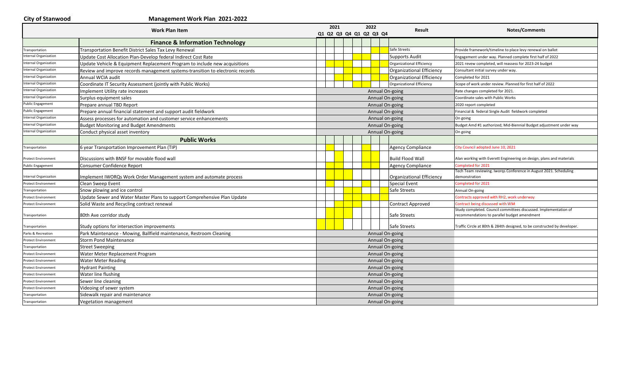| <b>City of Stanwood</b> |  |
|-------------------------|--|
|-------------------------|--|

### **City of Stanwood Management Work Plan 2021-2022**

| <b>Work Plan Item</b>        |                                                                                | 2021 |  |  | 2022 |  | Result                  | Notes/Comments                   |                                                                                                                  |
|------------------------------|--------------------------------------------------------------------------------|------|--|--|------|--|-------------------------|----------------------------------|------------------------------------------------------------------------------------------------------------------|
|                              |                                                                                |      |  |  |      |  | Q1 Q2 Q3 Q4 Q1 Q2 Q3 Q4 |                                  |                                                                                                                  |
|                              | <b>Finance &amp; Information Technology</b>                                    |      |  |  |      |  |                         |                                  |                                                                                                                  |
| Transportation               | Transportation Benefit District Sales Tax Levy Renewal                         |      |  |  |      |  |                         | Safe Streets                     | Provide framework/timeline to place levy renewal on ballot                                                       |
| Internal Organization        | Update Cost Allocation Plan-Develop federal Indirect Cost Rate                 |      |  |  |      |  |                         | <b>Supports Audit</b>            | Engagement under way. Planned complete first half of 2022                                                        |
| Internal Organization        | Update Vehicle & Equipment Replacement Program to include new acquisitions     |      |  |  |      |  |                         | Organizational Efficiency        | 2021 revew completed, will reassess for 2023-24 budget                                                           |
| <b>Internal Organization</b> | Review and improve records management systems-transition to electronic records |      |  |  |      |  |                         | Organizational Efficiency        | Consultant initial survey under way.                                                                             |
| <b>Internal Organization</b> | Annual WCIA audit                                                              |      |  |  |      |  |                         | Organizational Efficiency        | Completed for 2021                                                                                               |
| <b>Internal Organization</b> | Coordinate IT Security Assessment (jointly with Public Works)                  |      |  |  |      |  |                         | <b>Organizational Efficiency</b> | Scope of work under review. Planned for first half of 2022                                                       |
| Internal Organization        | <b>Implement Utility rate increases</b>                                        |      |  |  |      |  |                         | Annual On-going                  | Rate changes completed for 2021.                                                                                 |
| <b>Internal Organization</b> | Surplus equipment sales                                                        |      |  |  |      |  |                         | Annual On-going                  | Coordinate sales with Public Works                                                                               |
| <b>Public Engagement</b>     | Prepare annual TBD Report                                                      |      |  |  |      |  |                         | Annual On-going                  | 2020 report completed                                                                                            |
| <b>Public Engagement</b>     | Prepare annual financial statement and support audit fieldwork                 |      |  |  |      |  |                         | Annual On-going                  | Financial & federal Single Audit fieldwork completed                                                             |
| <b>Internal Organization</b> | Assess processes for automation and customer service enhancements              |      |  |  |      |  |                         | Annual on-going                  | On going                                                                                                         |
| <b>Internal Organization</b> | <b>Budget Monitoring and Budget Amendments</b>                                 |      |  |  |      |  |                         | Annual On-going                  | Budget Amd #1 authorized; Mid-Biennial Budget adjustment under way                                               |
| <b>Internal Organization</b> | Conduct physical asset inventory                                               |      |  |  |      |  |                         | Annual On-going                  | On going                                                                                                         |
|                              | <b>Public Works</b>                                                            |      |  |  |      |  |                         |                                  |                                                                                                                  |
| Transportation               | 6 year Transportation Improvement Plan (TIP)                                   |      |  |  |      |  |                         | <b>Agency Compliance</b>         | City Council adopted June 10, 2021                                                                               |
| <b>Protect Environment</b>   | Discussions with BNSF for movable flood wall                                   |      |  |  |      |  |                         | <b>Build Flood Wall</b>          | Alan working with Everett Engineering on design, plans and materials                                             |
| <b>Public Engagement</b>     | Consumer Confidence Report                                                     |      |  |  |      |  |                         | <b>Agency Compliance</b>         | Completed for 2021                                                                                               |
| Internal Organizaiton        | Implement IWORQs Work Order Management system and automate process             |      |  |  |      |  |                         | Organizational Efficiency        | Tech Team reviewing. Iworgs Conference in August 2021. Scheduling<br>demonstration                               |
| <b>Protect Environment</b>   | Clean Sweep Event                                                              |      |  |  |      |  |                         | <b>Special Event</b>             | Completed for 2021                                                                                               |
| Transportation               | Snow plowing and ice control                                                   |      |  |  |      |  |                         | Safe Streets                     | Annual On-going                                                                                                  |
| <b>Protect Environment</b>   | Update Sewer and Water Master Plans to support Comprehensive Plan Update       |      |  |  |      |  |                         |                                  | Contracts approved with RH2, work underway                                                                       |
| <b>Protect Environment</b>   | Solid Waste and Recycling contract renewal                                     |      |  |  |      |  |                         | Contract Approved                | Contract being discussed with WM                                                                                 |
| Transportation               | 80th Ave corridor study                                                        |      |  |  |      |  |                         | Safe Streets                     | Study completed. Council committees discussed. Implementation of<br>recommendations to parallel budget amendment |
| Transportation               | Study options for intersection improvements                                    |      |  |  |      |  |                         | Safe Streets                     | Traffic Circle at 80th & 284th designed, to be constructed by developer                                          |
| Parks & Recreation           | Park Maintenance - Mowing, Ballfield maintenance, Restroom Cleaning            |      |  |  |      |  |                         | Annual On-going                  |                                                                                                                  |
| <b>Protect Environment</b>   | <b>Storm Pond Maintenance</b>                                                  |      |  |  |      |  |                         | Annual On-going                  |                                                                                                                  |
| Transportation               | <b>Street Sweeping</b>                                                         |      |  |  |      |  |                         | Annual On-going                  |                                                                                                                  |
| <b>Protect Environment</b>   | Water Meter Replacement Program                                                |      |  |  |      |  |                         | Annual On-going                  |                                                                                                                  |
| Protect Environmen           | <b>Water Meter Reading</b>                                                     |      |  |  |      |  |                         | Annual On-going                  |                                                                                                                  |
| <b>Protect Environment</b>   | <b>Hydrant Painting</b>                                                        |      |  |  |      |  |                         | Annual On-going                  |                                                                                                                  |
| Protect Environment          | Water line flushing                                                            |      |  |  |      |  |                         | Annual On-going                  |                                                                                                                  |
| <b>Protect Environment</b>   | Sewer line cleaning                                                            |      |  |  |      |  |                         | Annual On-going                  |                                                                                                                  |
| <b>Protect Environment</b>   | Videoing of sewer system                                                       |      |  |  |      |  |                         | Annual On-going                  |                                                                                                                  |
| Transportation               | Sidewalk repair and maintenance                                                |      |  |  |      |  |                         | Annual On-going                  |                                                                                                                  |
| Transportation               | Vegetation management                                                          |      |  |  |      |  |                         | Annual On-going                  |                                                                                                                  |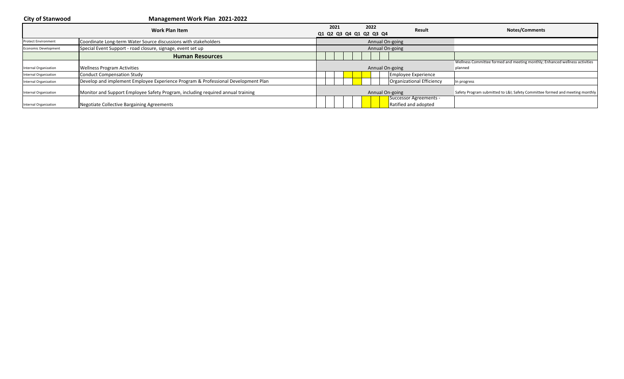**City of Stanwood Management Work Plan 2021-2022 CO21 CO21 CO21 CO22 CO22 Result CO21 Result CO22 Result CO21 CO21 CO22 CO21 CO2 Q3 Q4 Q1 Q2 Q3 Q4 Q1 Q2 Q3 Q4 CO2 Result CO2 CO2 CO2 CO2 CO2 CO2 CO2 CO2** Protect Environment **Coordinate Long-term Water Source discussions with stakeholders** Economic Development Special Event Support - road closure, signage, event set up **Human Resources** Internal Organization **Wellness Program Activities** Wellness Committee formed and meeting monthly; Enhanced wellness activities planned Internal Organization **Conduct Compensation Study Employee Experience** Internal Organization Develop and implement Employee Experience Program & Professional Development Plan Organizational Efficiency In progress Internal Organization Monitor and Support Employee Safety Program, including required annual training Safety Safety Annual On-going Safety Program submitted to L&I; Safety Committee formed and meeting monthly Internal Organization **Negotiate Collective Bargaining Agreements** Successor Agreements - Ratified and adopted Annual On-going Annual On-going Annual On-going Annual On-going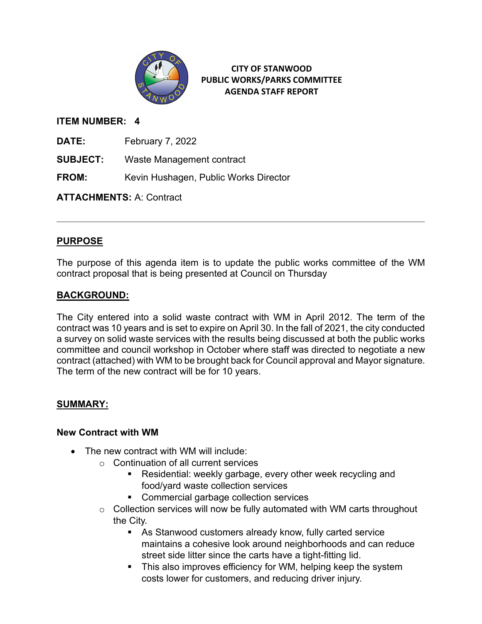

### **ITEM NUMBER: 4**

**DATE:** February 7, 2022

**SUBJECT:** Waste Management contract

**FROM:** Kevin Hushagen, Public Works Director

**ATTACHMENTS:** A: Contract

### **PURPOSE**

The purpose of this agenda item is to update the public works committee of the WM contract proposal that is being presented at Council on Thursday

### **BACKGROUND:**

The City entered into a solid waste contract with WM in April 2012. The term of the contract was 10 years and is set to expire on April 30. In the fall of 2021, the city conducted a survey on solid waste services with the results being discussed at both the public works committee and council workshop in October where staff was directed to negotiate a new contract (attached) with WM to be brought back for Council approval and Mayor signature. The term of the new contract will be for 10 years.

### **SUMMARY:**

### **New Contract with WM**

- The new contract with WM will include:
	- o Continuation of all current services
		- Residential: weekly garbage, every other week recycling and food/yard waste collection services
		- **Commercial garbage collection services**
	- o Collection services will now be fully automated with WM carts throughout the City.
		- As Stanwood customers already know, fully carted service maintains a cohesive look around neighborhoods and can reduce street side litter since the carts have a tight-fitting lid.
		- **This also improves efficiency for WM, helping keep the system** costs lower for customers, and reducing driver injury.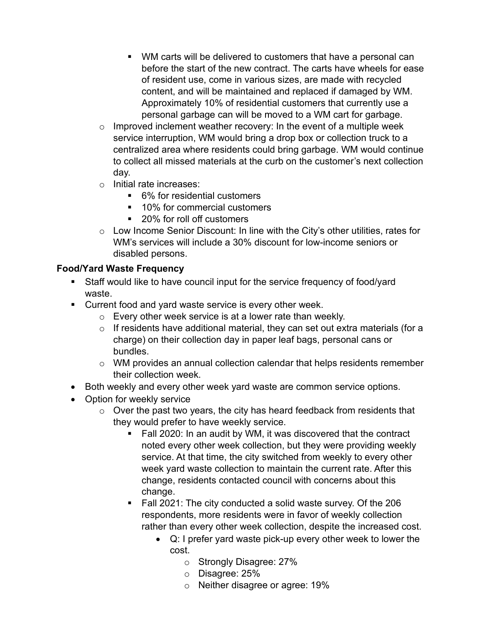- WM carts will be delivered to customers that have a personal can before the start of the new contract. The carts have wheels for ease of resident use, come in various sizes, are made with recycled content, and will be maintained and replaced if damaged by WM. Approximately 10% of residential customers that currently use a personal garbage can will be moved to a WM cart for garbage.
- $\circ$  Improved inclement weather recovery: In the event of a multiple week service interruption, WM would bring a drop box or collection truck to a centralized area where residents could bring garbage. WM would continue to collect all missed materials at the curb on the customer's next collection day.
- o Initial rate increases:
	- 6% for residential customers
	- 10% for commercial customers
	- 20% for roll off customers
- o Low Income Senior Discount: In line with the City's other utilities, rates for WM's services will include a 30% discount for low-income seniors or disabled persons.

### **Food/Yard Waste Frequency**

- Staff would like to have council input for the service frequency of food/yard waste.
- **Current food and yard waste service is every other week.** 
	- o Every other week service is at a lower rate than weekly.
	- $\circ$  If residents have additional material, they can set out extra materials (for a charge) on their collection day in paper leaf bags, personal cans or bundles.
	- $\circ$  WM provides an annual collection calendar that helps residents remember their collection week.
- Both weekly and every other week yard waste are common service options.
- Option for weekly service
	- $\circ$  Over the past two years, the city has heard feedback from residents that they would prefer to have weekly service.
		- Fall 2020: In an audit by WM, it was discovered that the contract noted every other week collection, but they were providing weekly service. At that time, the city switched from weekly to every other week yard waste collection to maintain the current rate. After this change, residents contacted council with concerns about this change.
		- Fall 2021: The city conducted a solid waste survey. Of the 206 respondents, more residents were in favor of weekly collection rather than every other week collection, despite the increased cost.
			- Q: I prefer yard waste pick-up every other week to lower the cost.
				- o Strongly Disagree: 27%
				- o Disagree: 25%
				- o Neither disagree or agree: 19%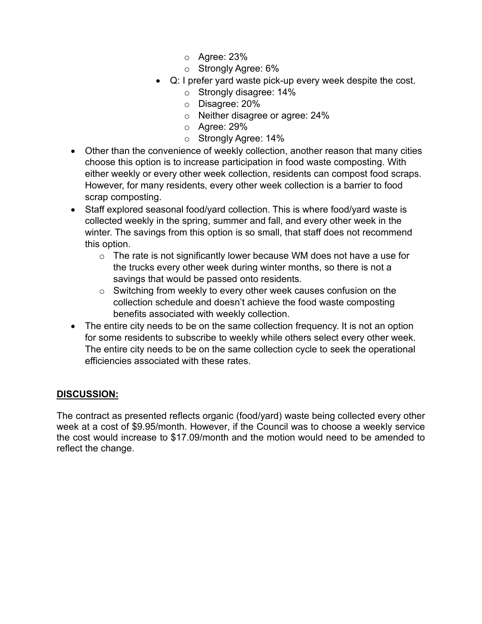- o Agree: 23%
- o Strongly Agree: 6%
- Q: I prefer yard waste pick-up every week despite the cost.
	- o Strongly disagree: 14%
	- o Disagree: 20%
	- o Neither disagree or agree: 24%
	- o Agree: 29%
	- o Strongly Agree: 14%
- Other than the convenience of weekly collection, another reason that many cities choose this option is to increase participation in food waste composting. With either weekly or every other week collection, residents can compost food scraps. However, for many residents, every other week collection is a barrier to food scrap composting.
- Staff explored seasonal food/yard collection. This is where food/yard waste is collected weekly in the spring, summer and fall, and every other week in the winter. The savings from this option is so small, that staff does not recommend this option.
	- $\circ$  The rate is not significantly lower because WM does not have a use for the trucks every other week during winter months, so there is not a savings that would be passed onto residents.
	- o Switching from weekly to every other week causes confusion on the collection schedule and doesn't achieve the food waste composting benefits associated with weekly collection.
- The entire city needs to be on the same collection frequency. It is not an option for some residents to subscribe to weekly while others select every other week. The entire city needs to be on the same collection cycle to seek the operational efficiencies associated with these rates.

### **DISCUSSION:**

The contract as presented reflects organic (food/yard) waste being collected every other week at a cost of \$9.95/month. However, if the Council was to choose a weekly service the cost would increase to \$17.09/month and the motion would need to be amended to reflect the change.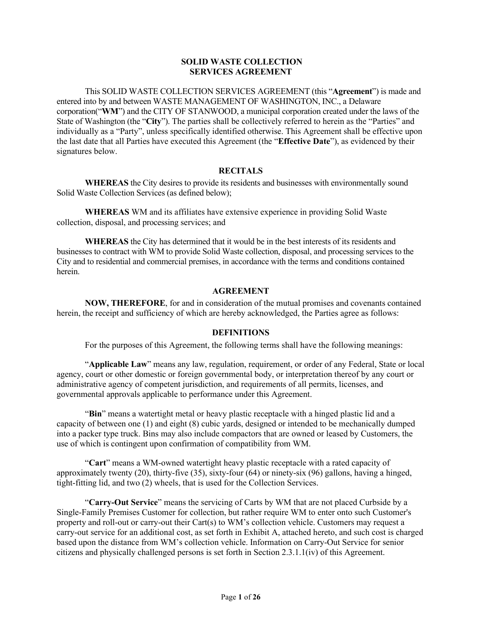#### **SOLID WASTE COLLECTION SERVICES AGREEMENT**

This SOLID WASTE COLLECTION SERVICES AGREEMENT (this "**Agreement**") is made and entered into by and between WASTE MANAGEMENT OF WASHINGTON, INC., a Delaware corporation("**WM**") and the CITY OF STANWOOD, a municipal corporation created under the laws of the State of Washington (the "**City**"). The parties shall be collectively referred to herein as the "Parties" and individually as a "Party", unless specifically identified otherwise. This Agreement shall be effective upon the last date that all Parties have executed this Agreement (the "**Effective Date**"), as evidenced by their signatures below.

#### **RECITALS**

**WHEREAS** the City desires to provide its residents and businesses with environmentally sound Solid Waste Collection Services (as defined below);

**WHEREAS** WM and its affiliates have extensive experience in providing Solid Waste collection, disposal, and processing services; and

**WHEREAS** the City has determined that it would be in the best interests of its residents and businesses to contract with WM to provide Solid Waste collection, disposal, and processing services to the City and to residential and commercial premises, in accordance with the terms and conditions contained herein.

#### **AGREEMENT**

**NOW, THEREFORE**, for and in consideration of the mutual promises and covenants contained herein, the receipt and sufficiency of which are hereby acknowledged, the Parties agree as follows:

#### **DEFINITIONS**

For the purposes of this Agreement, the following terms shall have the following meanings:

"**Applicable Law**" means any law, regulation, requirement, or order of any Federal, State or local agency, court or other domestic or foreign governmental body, or interpretation thereof by any court or administrative agency of competent jurisdiction, and requirements of all permits, licenses, and governmental approvals applicable to performance under this Agreement.

"**Bin**" means a watertight metal or heavy plastic receptacle with a hinged plastic lid and a capacity of between one (1) and eight (8) cubic yards, designed or intended to be mechanically dumped into a packer type truck. Bins may also include compactors that are owned or leased by Customers, the use of which is contingent upon confirmation of compatibility from WM.

"**Cart**" means a WM-owned watertight heavy plastic receptacle with a rated capacity of approximately twenty (20), thirty-five (35), sixty-four (64) or ninety-six (96) gallons, having a hinged, tight-fitting lid, and two (2) wheels, that is used for the Collection Services.

"**Carry-Out Service**" means the servicing of Carts by WM that are not placed Curbside by a Single-Family Premises Customer for collection, but rather require WM to enter onto such Customer's property and roll-out or carry-out their Cart(s) to WM's collection vehicle. Customers may request a carry-out service for an additional cost, as set forth in Exhibit A, attached hereto, and such cost is charged based upon the distance from WM's collection vehicle. Information on Carry-Out Service for senior citizens and physically challenged persons is set forth in Section 2.3.1.1(iv) of this Agreement.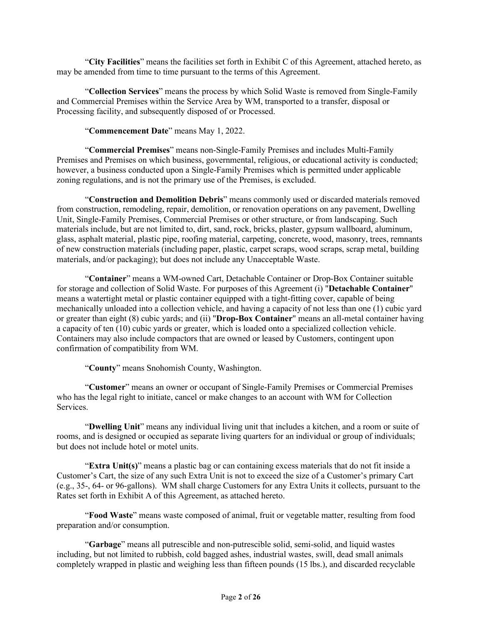"**City Facilities**" means the facilities set forth in Exhibit C of this Agreement, attached hereto, as may be amended from time to time pursuant to the terms of this Agreement.

"**Collection Services**" means the process by which Solid Waste is removed from Single-Family and Commercial Premises within the Service Area by WM, transported to a transfer, disposal or Processing facility, and subsequently disposed of or Processed.

"**Commencement Date**" means May 1, 2022.

"**Commercial Premises**" means non-Single-Family Premises and includes Multi-Family Premises and Premises on which business, governmental, religious, or educational activity is conducted; however, a business conducted upon a Single-Family Premises which is permitted under applicable zoning regulations, and is not the primary use of the Premises, is excluded.

"**Construction and Demolition Debris**" means commonly used or discarded materials removed from construction, remodeling, repair, demolition, or renovation operations on any pavement, Dwelling Unit, Single-Family Premises, Commercial Premises or other structure, or from landscaping. Such materials include, but are not limited to, dirt, sand, rock, bricks, plaster, gypsum wallboard, aluminum, glass, asphalt material, plastic pipe, roofing material, carpeting, concrete, wood, masonry, trees, remnants of new construction materials (including paper, plastic, carpet scraps, wood scraps, scrap metal, building materials, and/or packaging); but does not include any Unacceptable Waste.

"**Container**" means a WM-owned Cart, Detachable Container or Drop-Box Container suitable for storage and collection of Solid Waste. For purposes of this Agreement (i) "**Detachable Container**" means a watertight metal or plastic container equipped with a tight-fitting cover, capable of being mechanically unloaded into a collection vehicle, and having a capacity of not less than one (1) cubic yard or greater than eight (8) cubic yards; and (ii) "**Drop-Box Container**" means an all-metal container having a capacity of ten (10) cubic yards or greater, which is loaded onto a specialized collection vehicle. Containers may also include compactors that are owned or leased by Customers, contingent upon confirmation of compatibility from WM.

"**County**" means Snohomish County, Washington.

"**Customer**" means an owner or occupant of Single-Family Premises or Commercial Premises who has the legal right to initiate, cancel or make changes to an account with WM for Collection Services.

"**Dwelling Unit**" means any individual living unit that includes a kitchen, and a room or suite of rooms, and is designed or occupied as separate living quarters for an individual or group of individuals; but does not include hotel or motel units.

"**Extra Unit(s)**" means a plastic bag or can containing excess materials that do not fit inside a Customer's Cart, the size of any such Extra Unit is not to exceed the size of a Customer's primary Cart (e.g., 35-, 64- or 96-gallons). WM shall charge Customers for any Extra Units it collects, pursuant to the Rates set forth in Exhibit A of this Agreement, as attached hereto.

"**Food Waste**" means waste composed of animal, fruit or vegetable matter, resulting from food preparation and/or consumption.

"**Garbage**" means all putrescible and non-putrescible solid, semi-solid, and liquid wastes including, but not limited to rubbish, cold bagged ashes, industrial wastes, swill, dead small animals completely wrapped in plastic and weighing less than fifteen pounds (15 lbs.), and discarded recyclable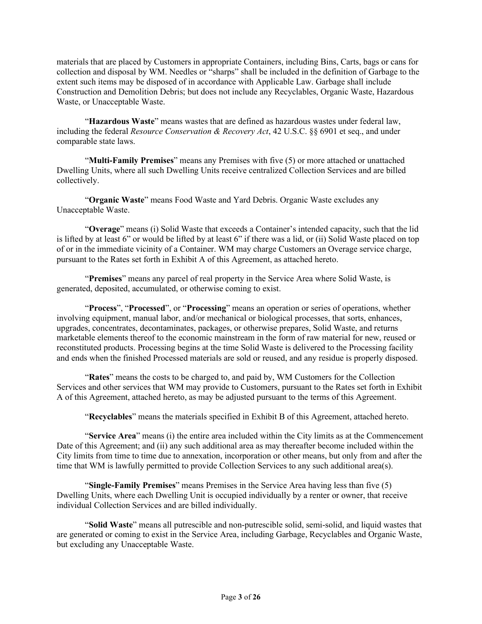materials that are placed by Customers in appropriate Containers, including Bins, Carts, bags or cans for collection and disposal by WM. Needles or "sharps" shall be included in the definition of Garbage to the extent such items may be disposed of in accordance with Applicable Law. Garbage shall include Construction and Demolition Debris; but does not include any Recyclables, Organic Waste, Hazardous Waste, or Unacceptable Waste.

"**Hazardous Waste**" means wastes that are defined as hazardous wastes under federal law, including the federal *Resource Conservation & Recovery Act*, 42 U.S.C. §§ 6901 et seq., and under comparable state laws.

"**Multi-Family Premises**" means any Premises with five (5) or more attached or unattached Dwelling Units, where all such Dwelling Units receive centralized Collection Services and are billed collectively.

"**Organic Waste**" means Food Waste and Yard Debris. Organic Waste excludes any Unacceptable Waste.

"**Overage**" means (i) Solid Waste that exceeds a Container's intended capacity, such that the lid is lifted by at least 6" or would be lifted by at least 6" if there was a lid, or (ii) Solid Waste placed on top of or in the immediate vicinity of a Container. WM may charge Customers an Overage service charge, pursuant to the Rates set forth in Exhibit A of this Agreement, as attached hereto.

"**Premises**" means any parcel of real property in the Service Area where Solid Waste, is generated, deposited, accumulated, or otherwise coming to exist.

"**Process**", "**Processed**", or "**Processing**" means an operation or series of operations, whether involving equipment, manual labor, and/or mechanical or biological processes, that sorts, enhances, upgrades, concentrates, decontaminates, packages, or otherwise prepares, Solid Waste, and returns marketable elements thereof to the economic mainstream in the form of raw material for new, reused or reconstituted products. Processing begins at the time Solid Waste is delivered to the Processing facility and ends when the finished Processed materials are sold or reused, and any residue is properly disposed.

"**Rates**" means the costs to be charged to, and paid by, WM Customers for the Collection Services and other services that WM may provide to Customers, pursuant to the Rates set forth in Exhibit A of this Agreement, attached hereto, as may be adjusted pursuant to the terms of this Agreement.

"**Recyclables**" means the materials specified in Exhibit B of this Agreement, attached hereto.

"**Service Area**" means (i) the entire area included within the City limits as at the Commencement Date of this Agreement; and (ii) any such additional area as may thereafter become included within the City limits from time to time due to annexation, incorporation or other means, but only from and after the time that WM is lawfully permitted to provide Collection Services to any such additional area(s).

"**Single-Family Premises**" means Premises in the Service Area having less than five (5) Dwelling Units, where each Dwelling Unit is occupied individually by a renter or owner, that receive individual Collection Services and are billed individually.

"**Solid Waste**" means all putrescible and non-putrescible solid, semi-solid, and liquid wastes that are generated or coming to exist in the Service Area, including Garbage, Recyclables and Organic Waste, but excluding any Unacceptable Waste.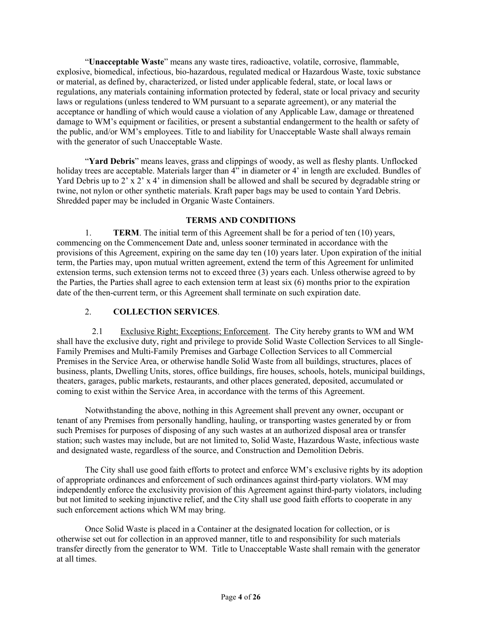"**Unacceptable Waste**" means any waste tires, radioactive, volatile, corrosive, flammable, explosive, biomedical, infectious, bio-hazardous, regulated medical or Hazardous Waste, toxic substance or material, as defined by, characterized, or listed under applicable federal, state, or local laws or regulations, any materials containing information protected by federal, state or local privacy and security laws or regulations (unless tendered to WM pursuant to a separate agreement), or any material the acceptance or handling of which would cause a violation of any Applicable Law, damage or threatened damage to WM's equipment or facilities, or present a substantial endangerment to the health or safety of the public, and/or WM's employees. Title to and liability for Unacceptable Waste shall always remain with the generator of such Unacceptable Waste.

"**Yard Debris**" means leaves, grass and clippings of woody, as well as fleshy plants. Unflocked holiday trees are acceptable. Materials larger than  $4$ " in diameter or 4' in length are excluded. Bundles of Yard Debris up to 2' x 2' x 4' in dimension shall be allowed and shall be secured by degradable string or twine, not nylon or other synthetic materials. Kraft paper bags may be used to contain Yard Debris. Shredded paper may be included in Organic Waste Containers.

#### **TERMS AND CONDITIONS**

1. **TERM**. The initial term of this Agreement shall be for a period of ten (10) years, commencing on the Commencement Date and, unless sooner terminated in accordance with the provisions of this Agreement, expiring on the same day ten (10) years later. Upon expiration of the initial term, the Parties may, upon mutual written agreement, extend the term of this Agreement for unlimited extension terms, such extension terms not to exceed three (3) years each. Unless otherwise agreed to by the Parties, the Parties shall agree to each extension term at least six (6) months prior to the expiration date of the then-current term, or this Agreement shall terminate on such expiration date.

#### 2. **COLLECTION SERVICES**.

2.1 Exclusive Right; Exceptions; Enforcement. The City hereby grants to WM and WM shall have the exclusive duty, right and privilege to provide Solid Waste Collection Services to all Single-Family Premises and Multi-Family Premises and Garbage Collection Services to all Commercial Premises in the Service Area, or otherwise handle Solid Waste from all buildings, structures, places of business, plants, Dwelling Units, stores, office buildings, fire houses, schools, hotels, municipal buildings, theaters, garages, public markets, restaurants, and other places generated, deposited, accumulated or coming to exist within the Service Area, in accordance with the terms of this Agreement.

Notwithstanding the above, nothing in this Agreement shall prevent any owner, occupant or tenant of any Premises from personally handling, hauling, or transporting wastes generated by or from such Premises for purposes of disposing of any such wastes at an authorized disposal area or transfer station; such wastes may include, but are not limited to, Solid Waste, Hazardous Waste, infectious waste and designated waste, regardless of the source, and Construction and Demolition Debris.

The City shall use good faith efforts to protect and enforce WM's exclusive rights by its adoption of appropriate ordinances and enforcement of such ordinances against third-party violators. WM may independently enforce the exclusivity provision of this Agreement against third-party violators, including but not limited to seeking injunctive relief, and the City shall use good faith efforts to cooperate in any such enforcement actions which WM may bring.

Once Solid Waste is placed in a Container at the designated location for collection, or is otherwise set out for collection in an approved manner, title to and responsibility for such materials transfer directly from the generator to WM. Title to Unacceptable Waste shall remain with the generator at all times.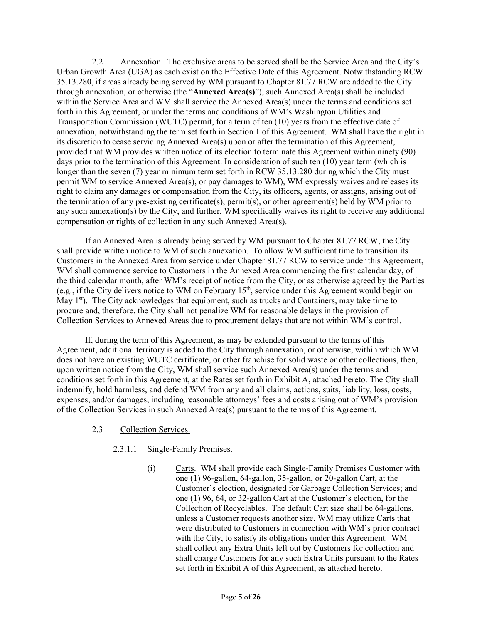2.2 Annexation. The exclusive areas to be served shall be the Service Area and the City's Urban Growth Area (UGA) as each exist on the Effective Date of this Agreement. Notwithstanding RCW 35.13.280, if areas already being served by WM pursuant to Chapter 81.77 RCW are added to the City through annexation, or otherwise (the "**Annexed Area(s)**"), such Annexed Area(s) shall be included within the Service Area and WM shall service the Annexed Area(s) under the terms and conditions set forth in this Agreement, or under the terms and conditions of WM's Washington Utilities and Transportation Commission (WUTC) permit, for a term of ten (10) years from the effective date of annexation, notwithstanding the term set forth in Section 1 of this Agreement. WM shall have the right in its discretion to cease servicing Annexed Area(s) upon or after the termination of this Agreement, provided that WM provides written notice of its election to terminate this Agreement within ninety (90) days prior to the termination of this Agreement. In consideration of such ten (10) year term (which is longer than the seven (7) year minimum term set forth in RCW 35.13.280 during which the City must permit WM to service Annexed Area(s), or pay damages to WM), WM expressly waives and releases its right to claim any damages or compensation from the City, its officers, agents, or assigns, arising out of the termination of any pre-existing certificate(s), permit(s), or other agreement(s) held by WM prior to any such annexation(s) by the City, and further, WM specifically waives its right to receive any additional compensation or rights of collection in any such Annexed Area(s).

If an Annexed Area is already being served by WM pursuant to Chapter 81.77 RCW, the City shall provide written notice to WM of such annexation. To allow WM sufficient time to transition its Customers in the Annexed Area from service under Chapter 81.77 RCW to service under this Agreement, WM shall commence service to Customers in the Annexed Area commencing the first calendar day, of the third calendar month, after WM's receipt of notice from the City, or as otherwise agreed by the Parties (e.g., if the City delivers notice to WM on February 15th, service under this Agreement would begin on May  $1<sup>st</sup>$ ). The City acknowledges that equipment, such as trucks and Containers, may take time to procure and, therefore, the City shall not penalize WM for reasonable delays in the provision of Collection Services to Annexed Areas due to procurement delays that are not within WM's control.

If, during the term of this Agreement, as may be extended pursuant to the terms of this Agreement, additional territory is added to the City through annexation, or otherwise, within which WM does not have an existing WUTC certificate, or other franchise for solid waste or other collections, then, upon written notice from the City, WM shall service such Annexed Area(s) under the terms and conditions set forth in this Agreement, at the Rates set forth in Exhibit A, attached hereto. The City shall indemnify, hold harmless, and defend WM from any and all claims, actions, suits, liability, loss, costs, expenses, and/or damages, including reasonable attorneys' fees and costs arising out of WM's provision of the Collection Services in such Annexed Area(s) pursuant to the terms of this Agreement.

#### 2.3 Collection Services.

#### 2.3.1.1 Single-Family Premises.

(i) Carts. WM shall provide each Single-Family Premises Customer with one (1) 96-gallon, 64-gallon, 35-gallon, or 20-gallon Cart, at the Customer's election, designated for Garbage Collection Services; and one (1) 96, 64, or 32-gallon Cart at the Customer's election, for the Collection of Recyclables. The default Cart size shall be 64-gallons, unless a Customer requests another size. WM may utilize Carts that were distributed to Customers in connection with WM's prior contract with the City, to satisfy its obligations under this Agreement. WM shall collect any Extra Units left out by Customers for collection and shall charge Customers for any such Extra Units pursuant to the Rates set forth in Exhibit A of this Agreement, as attached hereto.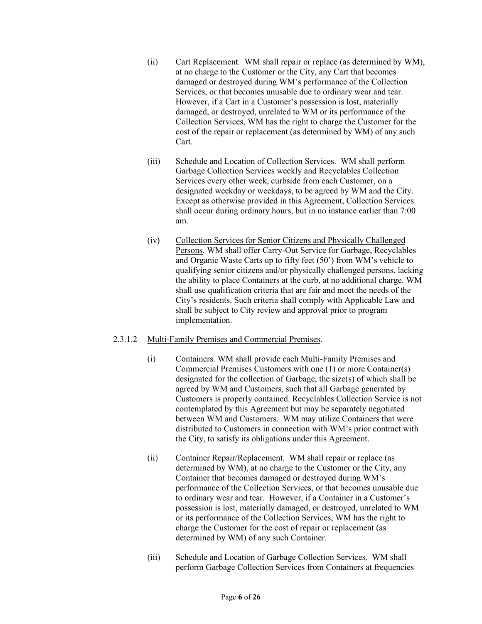- (ii) Cart Replacement. WM shall repair or replace (as determined by WM), at no charge to the Customer or the City, any Cart that becomes damaged or destroyed during WM's performance of the Collection Services, or that becomes unusable due to ordinary wear and tear. However, if a Cart in a Customer's possession is lost, materially damaged, or destroyed, unrelated to WM or its performance of the Collection Services, WM has the right to charge the Customer for the cost of the repair or replacement (as determined by WM) of any such Cart.
- (iii) Schedule and Location of Collection Services. WM shall perform Garbage Collection Services weekly and Recyclables Collection Services every other week, curbside from each Customer, on a designated weekday or weekdays, to be agreed by WM and the City. Except as otherwise provided in this Agreement, Collection Services shall occur during ordinary hours, but in no instance earlier than 7:00 am.
- (iv) Collection Services for Senior Citizens and Physically Challenged Persons. WM shall offer Carry-Out Service for Garbage, Recyclables and Organic Waste Carts up to fifty feet (50') from WM's vehicle to qualifying senior citizens and/or physically challenged persons, lacking the ability to place Containers at the curb, at no additional charge. WM shall use qualification criteria that are fair and meet the needs of the City's residents. Such criteria shall comply with Applicable Law and shall be subject to City review and approval prior to program implementation.

#### 2.3.1.2 Multi-Family Premises and Commercial Premises.

- (i) Containers. WM shall provide each Multi-Family Premises and Commercial Premises Customers with one (1) or more Container(s) designated for the collection of Garbage, the size(s) of which shall be agreed by WM and Customers, such that all Garbage generated by Customers is properly contained. Recyclables Collection Service is not contemplated by this Agreement but may be separately negotiated between WM and Customers. WM may utilize Containers that were distributed to Customers in connection with WM's prior contract with the City, to satisfy its obligations under this Agreement.
- (ii) Container Repair/Replacement. WM shall repair or replace (as determined by WM), at no charge to the Customer or the City, any Container that becomes damaged or destroyed during WM's performance of the Collection Services, or that becomes unusable due to ordinary wear and tear. However, if a Container in a Customer's possession is lost, materially damaged, or destroyed, unrelated to WM or its performance of the Collection Services, WM has the right to charge the Customer for the cost of repair or replacement (as determined by WM) of any such Container.
- (iii) Schedule and Location of Garbage Collection Services. WM shall perform Garbage Collection Services from Containers at frequencies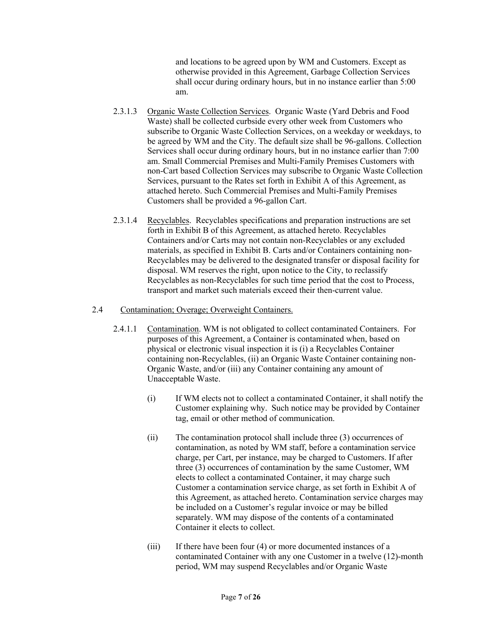and locations to be agreed upon by WM and Customers. Except as otherwise provided in this Agreement, Garbage Collection Services shall occur during ordinary hours, but in no instance earlier than 5:00 am.

- 2.3.1.3 Organic Waste Collection Services. Organic Waste (Yard Debris and Food Waste) shall be collected curbside every other week from Customers who subscribe to Organic Waste Collection Services, on a weekday or weekdays, to be agreed by WM and the City. The default size shall be 96-gallons. Collection Services shall occur during ordinary hours, but in no instance earlier than 7:00 am. Small Commercial Premises and Multi-Family Premises Customers with non-Cart based Collection Services may subscribe to Organic Waste Collection Services, pursuant to the Rates set forth in Exhibit A of this Agreement, as attached hereto. Such Commercial Premises and Multi-Family Premises Customers shall be provided a 96-gallon Cart.
- 2.3.1.4 Recyclables. Recyclables specifications and preparation instructions are set forth in Exhibit B of this Agreement, as attached hereto. Recyclables Containers and/or Carts may not contain non-Recyclables or any excluded materials, as specified in Exhibit B. Carts and/or Containers containing non-Recyclables may be delivered to the designated transfer or disposal facility for disposal. WM reserves the right, upon notice to the City, to reclassify Recyclables as non-Recyclables for such time period that the cost to Process, transport and market such materials exceed their then-current value.

#### 2.4 Contamination; Overage; Overweight Containers.

- 2.4.1.1 Contamination. WM is not obligated to collect contaminated Containers. For purposes of this Agreement, a Container is contaminated when, based on physical or electronic visual inspection it is (i) a Recyclables Container containing non-Recyclables, (ii) an Organic Waste Container containing non-Organic Waste, and/or (iii) any Container containing any amount of Unacceptable Waste.
	- (i) If WM elects not to collect a contaminated Container, it shall notify the Customer explaining why. Such notice may be provided by Container tag, email or other method of communication.
	- (ii) The contamination protocol shall include three (3) occurrences of contamination, as noted by WM staff, before a contamination service charge, per Cart, per instance, may be charged to Customers. If after three (3) occurrences of contamination by the same Customer, WM elects to collect a contaminated Container, it may charge such Customer a contamination service charge, as set forth in Exhibit A of this Agreement, as attached hereto. Contamination service charges may be included on a Customer's regular invoice or may be billed separately. WM may dispose of the contents of a contaminated Container it elects to collect.
	- (iii) If there have been four (4) or more documented instances of a contaminated Container with any one Customer in a twelve (12)-month period, WM may suspend Recyclables and/or Organic Waste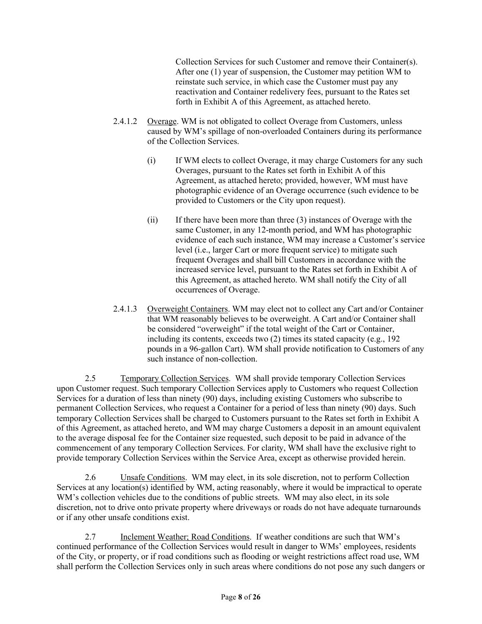Collection Services for such Customer and remove their Container(s). After one (1) year of suspension, the Customer may petition WM to reinstate such service, in which case the Customer must pay any reactivation and Container redelivery fees, pursuant to the Rates set forth in Exhibit A of this Agreement, as attached hereto.

- 2.4.1.2 Overage. WM is not obligated to collect Overage from Customers, unless caused by WM's spillage of non-overloaded Containers during its performance of the Collection Services.
	- (i) If WM elects to collect Overage, it may charge Customers for any such Overages, pursuant to the Rates set forth in Exhibit A of this Agreement, as attached hereto; provided, however, WM must have photographic evidence of an Overage occurrence (such evidence to be provided to Customers or the City upon request).
	- (ii) If there have been more than three (3) instances of Overage with the same Customer, in any 12-month period, and WM has photographic evidence of each such instance, WM may increase a Customer's service level (i.e., larger Cart or more frequent service) to mitigate such frequent Overages and shall bill Customers in accordance with the increased service level, pursuant to the Rates set forth in Exhibit A of this Agreement, as attached hereto. WM shall notify the City of all occurrences of Overage.
- 2.4.1.3 Overweight Containers. WM may elect not to collect any Cart and/or Container that WM reasonably believes to be overweight. A Cart and/or Container shall be considered "overweight" if the total weight of the Cart or Container, including its contents, exceeds two (2) times its stated capacity (e.g., 192 pounds in a 96-gallon Cart). WM shall provide notification to Customers of any such instance of non-collection.

2.5 Temporary Collection Services. WM shall provide temporary Collection Services upon Customer request. Such temporary Collection Services apply to Customers who request Collection Services for a duration of less than ninety (90) days, including existing Customers who subscribe to permanent Collection Services, who request a Container for a period of less than ninety (90) days. Such temporary Collection Services shall be charged to Customers pursuant to the Rates set forth in Exhibit A of this Agreement, as attached hereto, and WM may charge Customers a deposit in an amount equivalent to the average disposal fee for the Container size requested, such deposit to be paid in advance of the commencement of any temporary Collection Services. For clarity, WM shall have the exclusive right to provide temporary Collection Services within the Service Area, except as otherwise provided herein.

2.6 Unsafe Conditions. WM may elect, in its sole discretion, not to perform Collection Services at any location(s) identified by WM, acting reasonably, where it would be impractical to operate WM's collection vehicles due to the conditions of public streets. WM may also elect, in its sole discretion, not to drive onto private property where driveways or roads do not have adequate turnarounds or if any other unsafe conditions exist.

2.7 Inclement Weather; Road Conditions. If weather conditions are such that WM's continued performance of the Collection Services would result in danger to WMs' employees, residents of the City, or property, or if road conditions such as flooding or weight restrictions affect road use, WM shall perform the Collection Services only in such areas where conditions do not pose any such dangers or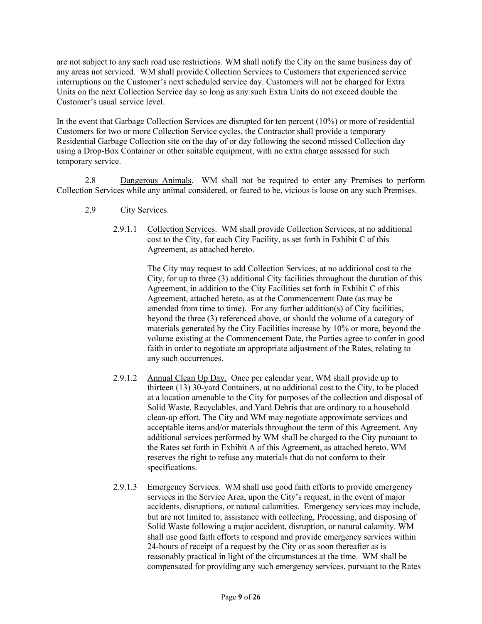are not subject to any such road use restrictions. WM shall notify the City on the same business day of any areas not serviced. WM shall provide Collection Services to Customers that experienced service interruptions on the Customer's next scheduled service day. Customers will not be charged for Extra Units on the next Collection Service day so long as any such Extra Units do not exceed double the Customer's usual service level.

In the event that Garbage Collection Services are disrupted for ten percent (10%) or more of residential Customers for two or more Collection Service cycles, the Contractor shall provide a temporary Residential Garbage Collection site on the day of or day following the second missed Collection day using a Drop-Box Container or other suitable equipment, with no extra charge assessed for such temporary service.

2.8 Dangerous Animals. WM shall not be required to enter any Premises to perform Collection Services while any animal considered, or feared to be, vicious is loose on any such Premises.

- 2.9 City Services.
	- 2.9.1.1 Collection Services. WM shall provide Collection Services, at no additional cost to the City, for each City Facility, as set forth in Exhibit C of this Agreement, as attached hereto.

The City may request to add Collection Services, at no additional cost to the City, for up to three (3) additional City facilities throughout the duration of this Agreement, in addition to the City Facilities set forth in Exhibit C of this Agreement, attached hereto, as at the Commencement Date (as may be amended from time to time). For any further addition(s) of City facilities, beyond the three (3) referenced above, or should the volume of a category of materials generated by the City Facilities increase by 10% or more, beyond the volume existing at the Commencement Date, the Parties agree to confer in good faith in order to negotiate an appropriate adjustment of the Rates, relating to any such occurrences.

- 2.9.1.2 Annual Clean Up Day. Once per calendar year, WM shall provide up to thirteen (13) 30-yard Containers, at no additional cost to the City, to be placed at a location amenable to the City for purposes of the collection and disposal of Solid Waste, Recyclables, and Yard Debris that are ordinary to a household clean-up effort. The City and WM may negotiate approximate services and acceptable items and/or materials throughout the term of this Agreement. Any additional services performed by WM shall be charged to the City pursuant to the Rates set forth in Exhibit A of this Agreement, as attached hereto. WM reserves the right to refuse any materials that do not conform to their specifications.
- 2.9.1.3 Emergency Services. WM shall use good faith efforts to provide emergency services in the Service Area, upon the City's request, in the event of major accidents, disruptions, or natural calamities. Emergency services may include, but are not limited to, assistance with collecting, Processing, and disposing of Solid Waste following a major accident, disruption, or natural calamity. WM shall use good faith efforts to respond and provide emergency services within 24-hours of receipt of a request by the City or as soon thereafter as is reasonably practical in light of the circumstances at the time. WM shall be compensated for providing any such emergency services, pursuant to the Rates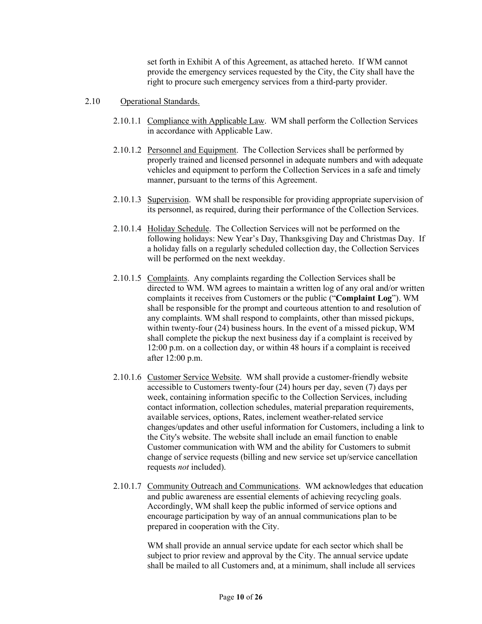set forth in Exhibit A of this Agreement, as attached hereto. If WM cannot provide the emergency services requested by the City, the City shall have the right to procure such emergency services from a third-party provider.

#### 2.10 Operational Standards.

- 2.10.1.1 Compliance with Applicable Law. WM shall perform the Collection Services in accordance with Applicable Law.
- 2.10.1.2 Personnel and Equipment. The Collection Services shall be performed by properly trained and licensed personnel in adequate numbers and with adequate vehicles and equipment to perform the Collection Services in a safe and timely manner, pursuant to the terms of this Agreement.
- 2.10.1.3 Supervision. WM shall be responsible for providing appropriate supervision of its personnel, as required, during their performance of the Collection Services.
- 2.10.1.4 Holiday Schedule. The Collection Services will not be performed on the following holidays: New Year's Day, Thanksgiving Day and Christmas Day. If a holiday falls on a regularly scheduled collection day, the Collection Services will be performed on the next weekday.
- 2.10.1.5 Complaints. Any complaints regarding the Collection Services shall be directed to WM. WM agrees to maintain a written log of any oral and/or written complaints it receives from Customers or the public ("**Complaint Log**"). WM shall be responsible for the prompt and courteous attention to and resolution of any complaints. WM shall respond to complaints, other than missed pickups, within twenty-four (24) business hours. In the event of a missed pickup, WM shall complete the pickup the next business day if a complaint is received by 12:00 p.m. on a collection day, or within 48 hours if a complaint is received after 12:00 p.m.
- 2.10.1.6 Customer Service Website. WM shall provide a customer-friendly website accessible to Customers twenty-four (24) hours per day, seven (7) days per week, containing information specific to the Collection Services, including contact information, collection schedules, material preparation requirements, available services, options, Rates, inclement weather-related service changes/updates and other useful information for Customers, including a link to the City's website. The website shall include an email function to enable Customer communication with WM and the ability for Customers to submit change of service requests (billing and new service set up/service cancellation requests *not* included).
- 2.10.1.7 Community Outreach and Communications. WM acknowledges that education and public awareness are essential elements of achieving recycling goals. Accordingly, WM shall keep the public informed of service options and encourage participation by way of an annual communications plan to be prepared in cooperation with the City.

WM shall provide an annual service update for each sector which shall be subject to prior review and approval by the City. The annual service update shall be mailed to all Customers and, at a minimum, shall include all services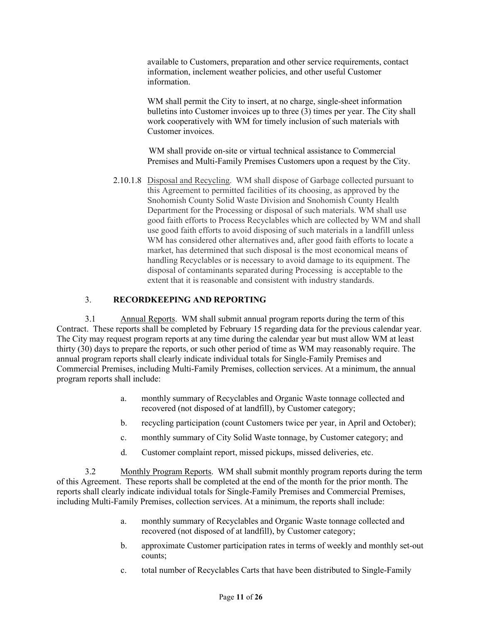available to Customers, preparation and other service requirements, contact information, inclement weather policies, and other useful Customer information.

WM shall permit the City to insert, at no charge, single-sheet information bulletins into Customer invoices up to three (3) times per year. The City shall work cooperatively with WM for timely inclusion of such materials with Customer invoices.

WM shall provide on-site or virtual technical assistance to Commercial Premises and Multi-Family Premises Customers upon a request by the City.

2.10.1.8 Disposal and Recycling. WM shall dispose of Garbage collected pursuant to this Agreement to permitted facilities of its choosing, as approved by the Snohomish County Solid Waste Division and Snohomish County Health Department for the Processing or disposal of such materials. WM shall use good faith efforts to Process Recyclables which are collected by WM and shall use good faith efforts to avoid disposing of such materials in a landfill unless WM has considered other alternatives and, after good faith efforts to locate a market, has determined that such disposal is the most economical means of handling Recyclables or is necessary to avoid damage to its equipment. The disposal of contaminants separated during Processing is acceptable to the extent that it is reasonable and consistent with industry standards.

#### 3. **RECORDKEEPING AND REPORTING**

3.1 Annual Reports. WM shall submit annual program reports during the term of this Contract. These reports shall be completed by February 15 regarding data for the previous calendar year. The City may request program reports at any time during the calendar year but must allow WM at least thirty (30) days to prepare the reports, or such other period of time as WM may reasonably require. The annual program reports shall clearly indicate individual totals for Single-Family Premises and Commercial Premises, including Multi-Family Premises, collection services. At a minimum, the annual program reports shall include:

- a. monthly summary of Recyclables and Organic Waste tonnage collected and recovered (not disposed of at landfill), by Customer category;
- b. recycling participation (count Customers twice per year, in April and October);
- c. monthly summary of City Solid Waste tonnage, by Customer category; and
- d. Customer complaint report, missed pickups, missed deliveries, etc.

3.2 Monthly Program Reports. WM shall submit monthly program reports during the term of this Agreement. These reports shall be completed at the end of the month for the prior month. The reports shall clearly indicate individual totals for Single-Family Premises and Commercial Premises, including Multi-Family Premises, collection services. At a minimum, the reports shall include:

- a. monthly summary of Recyclables and Organic Waste tonnage collected and recovered (not disposed of at landfill), by Customer category;
- b. approximate Customer participation rates in terms of weekly and monthly set-out counts;
- c. total number of Recyclables Carts that have been distributed to Single-Family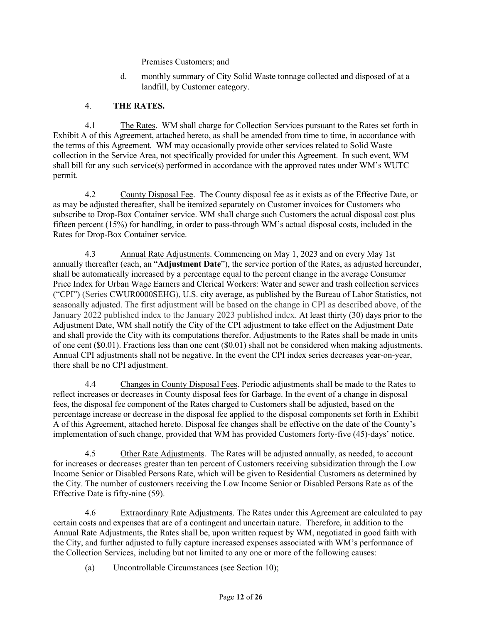Premises Customers; and

d. monthly summary of City Solid Waste tonnage collected and disposed of at a landfill, by Customer category.

#### 4. **THE RATES.**

4.1 The Rates. WM shall charge for Collection Services pursuant to the Rates set forth in Exhibit A of this Agreement, attached hereto, as shall be amended from time to time, in accordance with the terms of this Agreement. WM may occasionally provide other services related to Solid Waste collection in the Service Area, not specifically provided for under this Agreement. In such event, WM shall bill for any such service(s) performed in accordance with the approved rates under WM's WUTC permit.

4.2 County Disposal Fee. The County disposal fee as it exists as of the Effective Date, or as may be adjusted thereafter, shall be itemized separately on Customer invoices for Customers who subscribe to Drop-Box Container service. WM shall charge such Customers the actual disposal cost plus fifteen percent (15%) for handling, in order to pass-through WM's actual disposal costs, included in the Rates for Drop-Box Container service.

4.3 Annual Rate Adjustments. Commencing on May 1, 2023 and on every May 1st annually thereafter (each, an "**Adjustment Date**"), the service portion of the Rates, as adjusted hereunder, shall be automatically increased by a percentage equal to the percent change in the average Consumer Price Index for Urban Wage Earners and Clerical Workers: Water and sewer and trash collection services ("CPI") (Series CWUR0000SEHG), U.S. city average, as published by the Bureau of Labor Statistics, not seasonally adjusted. The first adjustment will be based on the change in CPI as described above, of the January 2022 published index to the January 2023 published index. At least thirty (30) days prior to the Adjustment Date, WM shall notify the City of the CPI adjustment to take effect on the Adjustment Date and shall provide the City with its computations therefor. Adjustments to the Rates shall be made in units of one cent (\$0.01). Fractions less than one cent (\$0.01) shall not be considered when making adjustments. Annual CPI adjustments shall not be negative. In the event the CPI index series decreases year-on-year, there shall be no CPI adjustment.

4.4 Changes in County Disposal Fees. Periodic adjustments shall be made to the Rates to reflect increases or decreases in County disposal fees for Garbage. In the event of a change in disposal fees, the disposal fee component of the Rates charged to Customers shall be adjusted, based on the percentage increase or decrease in the disposal fee applied to the disposal components set forth in Exhibit A of this Agreement, attached hereto. Disposal fee changes shall be effective on the date of the County's implementation of such change, provided that WM has provided Customers forty-five (45)-days' notice.

4.5 Other Rate Adjustments. The Rates will be adjusted annually, as needed, to account for increases or decreases greater than ten percent of Customers receiving subsidization through the Low Income Senior or Disabled Persons Rate, which will be given to Residential Customers as determined by the City. The number of customers receiving the Low Income Senior or Disabled Persons Rate as of the Effective Date is fifty-nine (59).

4.6 Extraordinary Rate Adjustments. The Rates under this Agreement are calculated to pay certain costs and expenses that are of a contingent and uncertain nature. Therefore, in addition to the Annual Rate Adjustments, the Rates shall be, upon written request by WM, negotiated in good faith with the City, and further adjusted to fully capture increased expenses associated with WM's performance of the Collection Services, including but not limited to any one or more of the following causes:

(a) Uncontrollable Circumstances (see Section 10);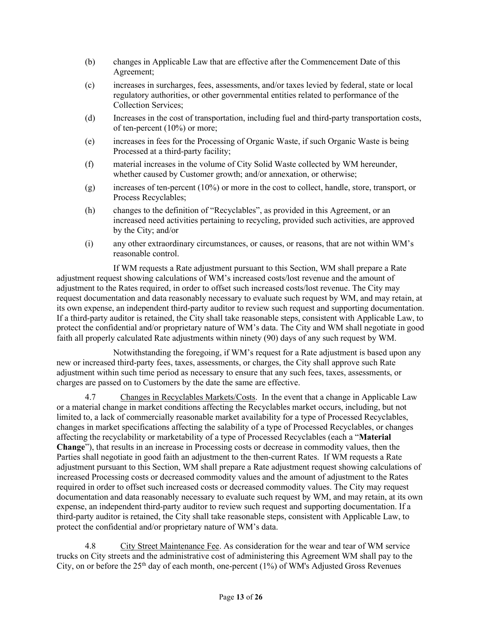- (b) changes in Applicable Law that are effective after the Commencement Date of this Agreement;
- (c) increases in surcharges, fees, assessments, and/or taxes levied by federal, state or local regulatory authorities, or other governmental entities related to performance of the Collection Services;
- (d) Increases in the cost of transportation, including fuel and third-party transportation costs, of ten-percent (10%) or more;
- (e) increases in fees for the Processing of Organic Waste, if such Organic Waste is being Processed at a third-party facility;
- (f) material increases in the volume of City Solid Waste collected by WM hereunder, whether caused by Customer growth; and/or annexation, or otherwise;
- $(g)$  increases of ten-percent (10%) or more in the cost to collect, handle, store, transport, or Process Recyclables;
- (h) changes to the definition of "Recyclables", as provided in this Agreement, or an increased need activities pertaining to recycling, provided such activities, are approved by the City; and/or
- (i) any other extraordinary circumstances, or causes, or reasons, that are not within WM's reasonable control.

If WM requests a Rate adjustment pursuant to this Section, WM shall prepare a Rate adjustment request showing calculations of WM's increased costs/lost revenue and the amount of adjustment to the Rates required, in order to offset such increased costs/lost revenue. The City may request documentation and data reasonably necessary to evaluate such request by WM, and may retain, at its own expense, an independent third-party auditor to review such request and supporting documentation. If a third-party auditor is retained, the City shall take reasonable steps, consistent with Applicable Law, to protect the confidential and/or proprietary nature of WM's data. The City and WM shall negotiate in good faith all properly calculated Rate adjustments within ninety (90) days of any such request by WM.

Notwithstanding the foregoing, if WM's request for a Rate adjustment is based upon any new or increased third-party fees, taxes, assessments, or charges, the City shall approve such Rate adjustment within such time period as necessary to ensure that any such fees, taxes, assessments, or charges are passed on to Customers by the date the same are effective.

4.7 Changes in Recyclables Markets/Costs. In the event that a change in Applicable Law or a material change in market conditions affecting the Recyclables market occurs, including, but not limited to, a lack of commercially reasonable market availability for a type of Processed Recyclables, changes in market specifications affecting the salability of a type of Processed Recyclables, or changes affecting the recyclability or marketability of a type of Processed Recyclables (each a "**Material Change**"), that results in an increase in Processing costs or decrease in commodity values, then the Parties shall negotiate in good faith an adjustment to the then-current Rates. If WM requests a Rate adjustment pursuant to this Section, WM shall prepare a Rate adjustment request showing calculations of increased Processing costs or decreased commodity values and the amount of adjustment to the Rates required in order to offset such increased costs or decreased commodity values. The City may request documentation and data reasonably necessary to evaluate such request by WM, and may retain, at its own expense, an independent third-party auditor to review such request and supporting documentation. If a third-party auditor is retained, the City shall take reasonable steps, consistent with Applicable Law, to protect the confidential and/or proprietary nature of WM's data.

4.8 City Street Maintenance Fee. As consideration for the wear and tear of WM service trucks on City streets and the administrative cost of administering this Agreement WM shall pay to the City, on or before the  $25<sup>th</sup>$  day of each month, one-percent (1%) of WM's Adjusted Gross Revenues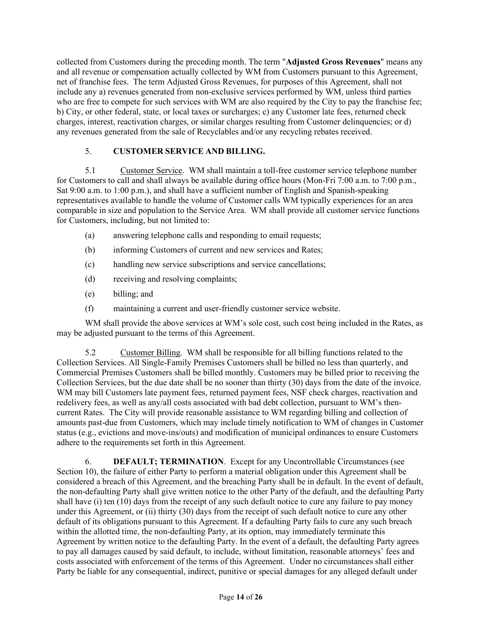collected from Customers during the preceding month. The term "**Adjusted Gross Revenues**" means any and all revenue or compensation actually collected by WM from Customers pursuant to this Agreement, net of franchise fees. The term Adjusted Gross Revenues, for purposes of this Agreement, shall not include any a) revenues generated from non-exclusive services performed by WM, unless third parties who are free to compete for such services with WM are also required by the City to pay the franchise fee; b) City, or other federal, state, or local taxes or surcharges; c) any Customer late fees, returned check charges, interest, reactivation charges, or similar charges resulting from Customer delinquencies; or d) any revenues generated from the sale of Recyclables and/or any recycling rebates received.

#### 5. **CUSTOMER SERVICE AND BILLING.**

5.1 Customer Service. WM shall maintain a toll-free customer service telephone number for Customers to call and shall always be available during office hours (Mon-Fri 7:00 a.m. to 7:00 p.m., Sat 9:00 a.m. to 1:00 p.m.), and shall have a sufficient number of English and Spanish-speaking representatives available to handle the volume of Customer calls WM typically experiences for an area comparable in size and population to the Service Area. WM shall provide all customer service functions for Customers, including, but not limited to:

- (a) answering telephone calls and responding to email requests;
- (b) informing Customers of current and new services and Rates;
- (c) handling new service subscriptions and service cancellations;
- (d) receiving and resolving complaints;
- (e) billing; and
- (f) maintaining a current and user-friendly customer service website.

WM shall provide the above services at WM's sole cost, such cost being included in the Rates, as may be adjusted pursuant to the terms of this Agreement.

5.2 Customer Billing. WM shall be responsible for all billing functions related to the Collection Services. All Single-Family Premises Customers shall be billed no less than quarterly, and Commercial Premises Customers shall be billed monthly. Customers may be billed prior to receiving the Collection Services, but the due date shall be no sooner than thirty (30) days from the date of the invoice. WM may bill Customers late payment fees, returned payment fees, NSF check charges, reactivation and redelivery fees, as well as any/all costs associated with bad debt collection, pursuant to WM's thencurrent Rates. The City will provide reasonable assistance to WM regarding billing and collection of amounts past-due from Customers, which may include timely notification to WM of changes in Customer status (e.g., evictions and move-ins/outs) and modification of municipal ordinances to ensure Customers adhere to the requirements set forth in this Agreement.

6. **DEFAULT; TERMINATION**.Except for any Uncontrollable Circumstances (see Section 10), the failure of either Party to perform a material obligation under this Agreement shall be considered a breach of this Agreement, and the breaching Party shall be in default. In the event of default, the non-defaulting Party shall give written notice to the other Party of the default, and the defaulting Party shall have (i) ten (10) days from the receipt of any such default notice to cure any failure to pay money under this Agreement, or (ii) thirty (30) days from the receipt of such default notice to cure any other default of its obligations pursuant to this Agreement. If a defaulting Party fails to cure any such breach within the allotted time, the non-defaulting Party, at its option, may immediately terminate this Agreement by written notice to the defaulting Party. In the event of a default, the defaulting Party agrees to pay all damages caused by said default, to include, without limitation, reasonable attorneys' fees and costs associated with enforcement of the terms of this Agreement. Under no circumstances shall either Party be liable for any consequential, indirect, punitive or special damages for any alleged default under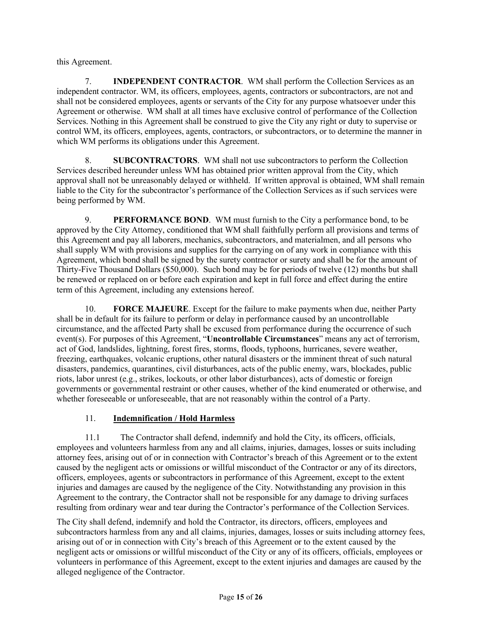this Agreement.

7. **INDEPENDENT CONTRACTOR**. WM shall perform the Collection Services as an independent contractor. WM, its officers, employees, agents, contractors or subcontractors, are not and shall not be considered employees, agents or servants of the City for any purpose whatsoever under this Agreement or otherwise. WM shall at all times have exclusive control of performance of the Collection Services. Nothing in this Agreement shall be construed to give the City any right or duty to supervise or control WM, its officers, employees, agents, contractors, or subcontractors, or to determine the manner in which WM performs its obligations under this Agreement.

8. **SUBCONTRACTORS**. WM shall not use subcontractors to perform the Collection Services described hereunder unless WM has obtained prior written approval from the City, which approval shall not be unreasonably delayed or withheld. If written approval is obtained, WM shall remain liable to the City for the subcontractor's performance of the Collection Services as if such services were being performed by WM.

9. **PERFORMANCE BOND**. WM must furnish to the City a performance bond, to be approved by the City Attorney, conditioned that WM shall faithfully perform all provisions and terms of this Agreement and pay all laborers, mechanics, subcontractors, and materialmen, and all persons who shall supply WM with provisions and supplies for the carrying on of any work in compliance with this Agreement, which bond shall be signed by the surety contractor or surety and shall be for the amount of Thirty-Five Thousand Dollars (\$50,000). Such bond may be for periods of twelve (12) months but shall be renewed or replaced on or before each expiration and kept in full force and effect during the entire term of this Agreement, including any extensions hereof.

10. **FORCE MAJEURE**. Except for the failure to make payments when due, neither Party shall be in default for its failure to perform or delay in performance caused by an uncontrollable circumstance, and the affected Party shall be excused from performance during the occurrence of such event(s). For purposes of this Agreement, "**Uncontrollable Circumstances**" means any act of terrorism, act of God, landslides, lightning, forest fires, storms, floods, typhoons, hurricanes, severe weather, freezing, earthquakes, volcanic eruptions, other natural disasters or the imminent threat of such natural disasters, pandemics, quarantines, civil disturbances, acts of the public enemy, wars, blockades, public riots, labor unrest (e.g., strikes, lockouts, or other labor disturbances), acts of domestic or foreign governments or governmental restraint or other causes, whether of the kind enumerated or otherwise, and whether foreseeable or unforeseeable, that are not reasonably within the control of a Party.

#### 11. **Indemnification / Hold Harmless**

11.1 The Contractor shall defend, indemnify and hold the City, its officers, officials, employees and volunteers harmless from any and all claims, injuries, damages, losses or suits including attorney fees, arising out of or in connection with Contractor's breach of this Agreement or to the extent caused by the negligent acts or omissions or willful misconduct of the Contractor or any of its directors, officers, employees, agents or subcontractors in performance of this Agreement, except to the extent injuries and damages are caused by the negligence of the City. Notwithstanding any provision in this Agreement to the contrary, the Contractor shall not be responsible for any damage to driving surfaces resulting from ordinary wear and tear during the Contractor's performance of the Collection Services.

The City shall defend, indemnify and hold the Contractor, its directors, officers, employees and subcontractors harmless from any and all claims, injuries, damages, losses or suits including attorney fees, arising out of or in connection with City's breach of this Agreement or to the extent caused by the negligent acts or omissions or willful misconduct of the City or any of its officers, officials, employees or volunteers in performance of this Agreement, except to the extent injuries and damages are caused by the alleged negligence of the Contractor.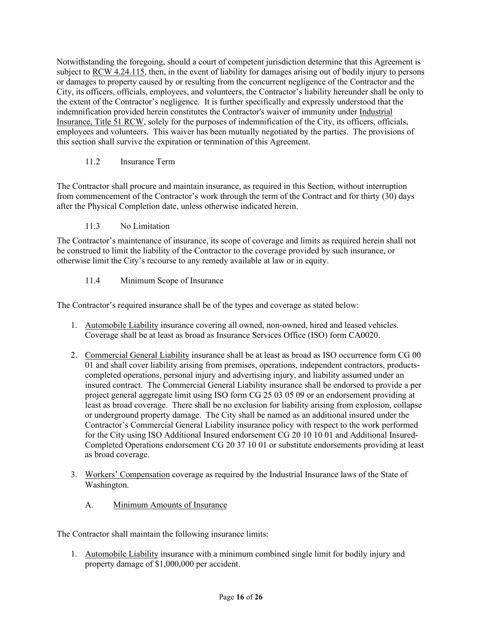Notwithstanding the foregoing, should a court of competent jurisdiction determine that this Agreement is subject to RCW 4.24.115, then, in the event of liability for damages arising out of bodily injury to persons or damages to property caused by or resulting from the concurrent negligence of the Contractor and the City, its officers, officials, employees, and volunteers, the Contractor's liability hereunder shall be only to the extent of the Contractor's negligence. It is further specifically and expressly understood that the indemnification provided herein constitutes the Contractor's waiver of immunity under Industrial Insurance, Title 51 RCW, solely for the purposes of indemnification of the City, its officers, officials, employees and volunteers. This waiver has been mutually negotiated by the parties. The provisions of this section shall survive the expiration or termination of this Agreement.

#### 11.2 Insurance Term

The Contractor shall procure and maintain insurance, as required in this Section, without interruption from commencement of the Contractor's work through the term of the Contract and for thirty (30) days after the Physical Completion date, unless otherwise indicated herein.

#### 11.3 No Limitation

The Contractor's maintenance of insurance, its scope of coverage and limits as required herein shall not be construed to limit the liability of the Contractor to the coverage provided by such insurance, or otherwise limit the City's recourse to any remedy available at law or in equity.

#### 11.4 Minimum Scope of Insurance

The Contractor's required insurance shall be of the types and coverage as stated below:

- 1. Automobile Liability insurance covering all owned, non-owned, hired and leased vehicles. Coverage shall be at least as broad as Insurance Services Office (ISO) form CA0020.
- 2. Commercial General Liability insurance shall be at least as broad as ISO occurrence form CG 00 01 and shall cover liability arising from premises, operations, independent contractors, productscompleted operations, personal injury and advertising injury, and liability assumed under an insured contract. The Commercial General Liability insurance shall be endorsed to provide a per project general aggregate limit using ISO form CG 25 03 05 09 or an endorsement providing at least as broad coverage. There shall be no exclusion for liability arising from explosion, collapse or underground property damage. The City shall be named as an additional insured under the Contractor's Commercial General Liability insurance policy with respect to the work performed for the City using ISO Additional Insured endorsement CG 20 10 10 01 and Additional Insured-Completed Operations endorsement CG 20 37 10 01 or substitute endorsements providing at least as broad coverage.
- 3. Workers' Compensation coverage as required by the Industrial Insurance laws of the State of Washington.
	- A. Minimum Amounts of Insurance

The Contractor shall maintain the following insurance limits:

1. Automobile Liability insurance with a minimum combined single limit for bodily injury and property damage of \$1,000,000 per accident.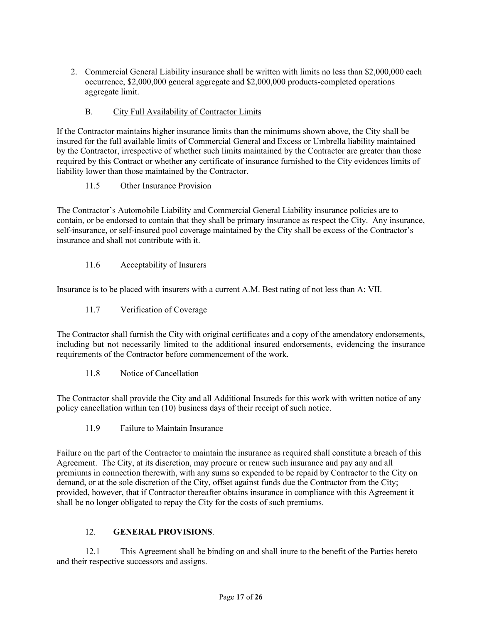2. Commercial General Liability insurance shall be written with limits no less than \$2,000,000 each occurrence, \$2,000,000 general aggregate and \$2,000,000 products-completed operations aggregate limit.

#### B. City Full Availability of Contractor Limits

If the Contractor maintains higher insurance limits than the minimums shown above, the City shall be insured for the full available limits of Commercial General and Excess or Umbrella liability maintained by the Contractor, irrespective of whether such limits maintained by the Contractor are greater than those required by this Contract or whether any certificate of insurance furnished to the City evidences limits of liability lower than those maintained by the Contractor.

11.5 Other Insurance Provision

The Contractor's Automobile Liability and Commercial General Liability insurance policies are to contain, or be endorsed to contain that they shall be primary insurance as respect the City. Any insurance, self-insurance, or self-insured pool coverage maintained by the City shall be excess of the Contractor's insurance and shall not contribute with it.

11.6 Acceptability of Insurers

Insurance is to be placed with insurers with a current A.M. Best rating of not less than A: VII.

11.7 Verification of Coverage

The Contractor shall furnish the City with original certificates and a copy of the amendatory endorsements, including but not necessarily limited to the additional insured endorsements, evidencing the insurance requirements of the Contractor before commencement of the work.

11.8 Notice of Cancellation

The Contractor shall provide the City and all Additional Insureds for this work with written notice of any policy cancellation within ten (10) business days of their receipt of such notice.

11.9 Failure to Maintain Insurance

Failure on the part of the Contractor to maintain the insurance as required shall constitute a breach of this Agreement. The City, at its discretion, may procure or renew such insurance and pay any and all premiums in connection therewith, with any sums so expended to be repaid by Contractor to the City on demand, or at the sole discretion of the City, offset against funds due the Contractor from the City; provided, however, that if Contractor thereafter obtains insurance in compliance with this Agreement it shall be no longer obligated to repay the City for the costs of such premiums.

#### 12. **GENERAL PROVISIONS**.

12.1 This Agreement shall be binding on and shall inure to the benefit of the Parties hereto and their respective successors and assigns.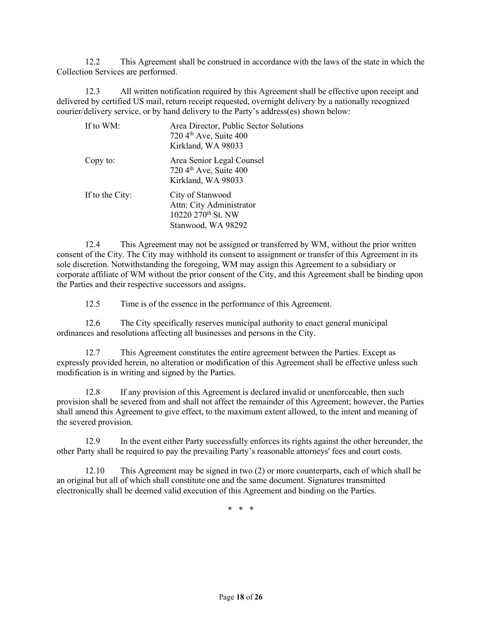12.2 This Agreement shall be construed in accordance with the laws of the state in which the Collection Services are performed.

12.3 All written notification required by this Agreement shall be effective upon receipt and delivered by certified US mail, return receipt requested, overnight delivery by a nationally recognized courier/delivery service, or by hand delivery to the Party's address(es) shown below:

| If to WM:       | Area Director, Public Sector Solutions<br>720 4th Ave, Suite 400<br>Kirkland, WA 98033               |
|-----------------|------------------------------------------------------------------------------------------------------|
| Copy to:        | Area Senior Legal Counsel<br>720 4 <sup>th</sup> Ave, Suite 400<br>Kirkland, WA 98033                |
| If to the City: | City of Stanwood<br>Attn: City Administrator<br>10220 270 <sup>th</sup> St. NW<br>Stanwood, WA 98292 |

12.4 This Agreement may not be assigned or transferred by WM, without the prior written consent of the City. The City may withhold its consent to assignment or transfer of this Agreement in its sole discretion. Notwithstanding the foregoing, WM may assign this Agreement to a subsidiary or corporate affiliate of WM without the prior consent of the City, and this Agreement shall be binding upon the Parties and their respective successors and assigns.

12.5 Time is of the essence in the performance of this Agreement.

12.6 The City specifically reserves municipal authority to enact general municipal ordinances and resolutions affecting all businesses and persons in the City.

12.7 This Agreement constitutes the entire agreement between the Parties. Except as expressly provided herein, no alteration or modification of this Agreement shall be effective unless such modification is in writing and signed by the Parties.

12.8 If any provision of this Agreement is declared invalid or unenforceable, then such provision shall be severed from and shall not affect the remainder of this Agreement; however, the Parties shall amend this Agreement to give effect, to the maximum extent allowed, to the intent and meaning of the severed provision.

12.9 In the event either Party successfully enforces its rights against the other hereunder, the other Party shall be required to pay the prevailing Party's reasonable attorneys' fees and court costs.

12.10 This Agreement may be signed in two (2) or more counterparts, each of which shall be an original but all of which shall constitute one and the same document. Signatures transmitted electronically shall be deemed valid execution of this Agreement and binding on the Parties.

\* \* \*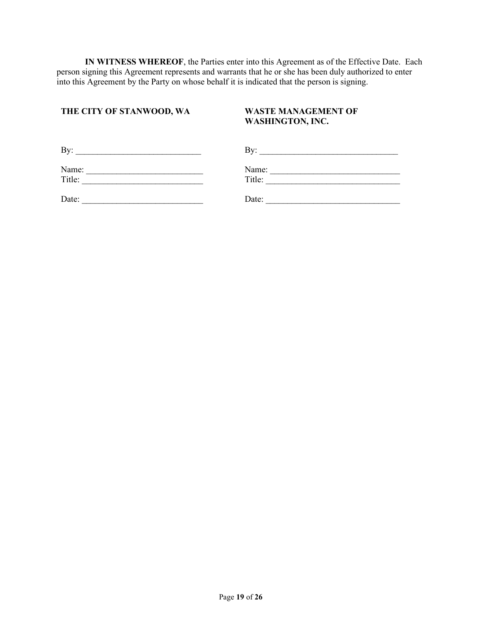**IN WITNESS WHEREOF**, the Parties enter into this Agreement as of the Effective Date. Each person signing this Agreement represents and warrants that he or she has been duly authorized to enter into this Agreement by the Party on whose behalf it is indicated that the person is signing.

#### **THE CITY OF STANWOOD, WA WASTE MANAGEMENT OF**

# **WASHINGTON, INC.**

| By:    | Bv:    |  |
|--------|--------|--|
| Name:  | Name:  |  |
| Title: | Title: |  |
| Date:  | Date:  |  |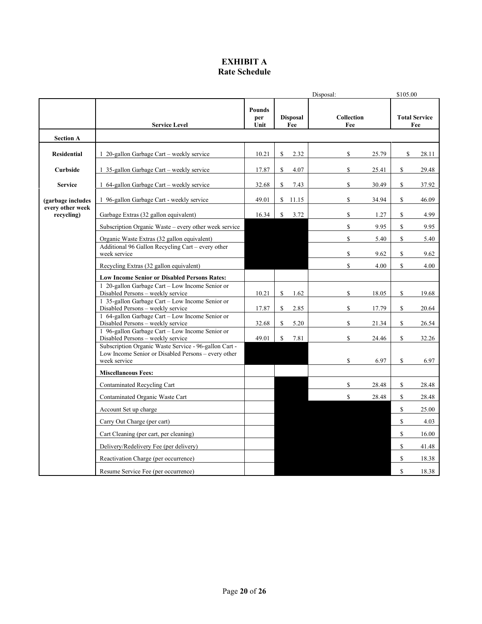#### **EXHIBIT A Rate Schedule**

|                                       |                                                                                                                              |                              |                        | Disposal:         | \$105.00                    |
|---------------------------------------|------------------------------------------------------------------------------------------------------------------------------|------------------------------|------------------------|-------------------|-----------------------------|
|                                       | <b>Service Level</b>                                                                                                         | <b>Pounds</b><br>per<br>Unit | <b>Disposal</b><br>Fee | Collection<br>Fee | <b>Total Service</b><br>Fee |
| <b>Section A</b>                      |                                                                                                                              |                              |                        |                   |                             |
| <b>Residential</b>                    | 1 20-gallon Garbage Cart – weekly service                                                                                    | 10.21                        | \$<br>2.32             | \$<br>25.79       | \$<br>28.11                 |
| Curbside                              | 1 35-gallon Garbage Cart – weekly service                                                                                    | 17.87                        | S<br>4.07              | \$<br>25.41       | \$<br>29.48                 |
| <b>Service</b>                        | 1 64-gallon Garbage Cart – weekly service                                                                                    | 32.68                        | 7.43<br>S              | \$<br>30.49       | \$<br>37.92                 |
| (garbage includes<br>every other week | 1 96-gallon Garbage Cart - weekly service                                                                                    | 49.01                        | $\mathbb{S}$<br>11.15  | \$<br>34.94       | \$<br>46.09                 |
| recycling)                            | Garbage Extras (32 gallon equivalent)                                                                                        | 16.34                        | $\mathcal{S}$<br>3.72  | \$<br>1.27        | \$<br>4.99                  |
|                                       | Subscription Organic Waste – every other week service                                                                        |                              |                        | \$<br>9.95        | \$<br>9.95                  |
|                                       | Organic Waste Extras (32 gallon equivalent)                                                                                  |                              |                        | \$<br>5.40        | $\mathbb S$<br>5.40         |
|                                       | Additional 96 Gallon Recycling Cart - every other                                                                            |                              |                        |                   |                             |
|                                       | week service                                                                                                                 |                              |                        | \$<br>9.62        | \$<br>9.62                  |
|                                       | Recycling Extras (32 gallon equivalent)                                                                                      |                              |                        | \$<br>4.00        | \$<br>4.00                  |
|                                       | <b>Low Income Senior or Disabled Persons Rates:</b><br>1 20-gallon Garbage Cart - Low Income Senior or                       |                              |                        |                   |                             |
|                                       | Disabled Persons - weekly service                                                                                            | 10.21                        | S<br>1.62              | \$<br>18.05       | \$<br>19.68                 |
|                                       | 1 35-gallon Garbage Cart - Low Income Senior or<br>Disabled Persons - weekly service                                         | 17.87                        | 2.85<br>S              | \$<br>17.79       | \$<br>20.64                 |
|                                       | 1 64-gallon Garbage Cart - Low Income Senior or<br>Disabled Persons - weekly service                                         | 32.68                        | S<br>5.20              | \$<br>21.34       | \$<br>26.54                 |
|                                       | 1 96-gallon Garbage Cart - Low Income Senior or<br>Disabled Persons - weekly service                                         | 49.01                        | 7.81<br>S              | \$<br>24.46       | \$<br>32.26                 |
|                                       | Subscription Organic Waste Service - 96-gallon Cart -<br>Low Income Senior or Disabled Persons - every other<br>week service |                              |                        | \$<br>6.97        | \$<br>6.97                  |
|                                       | <b>Miscellaneous Fees:</b>                                                                                                   |                              |                        |                   |                             |
|                                       | Contaminated Recycling Cart                                                                                                  |                              |                        | \$<br>28.48       | \$<br>28.48                 |
|                                       | Contaminated Organic Waste Cart                                                                                              |                              |                        | \$<br>28.48       | \$<br>28.48                 |
|                                       | Account Set up charge                                                                                                        |                              |                        |                   | $\mathbb{S}$<br>25.00       |
|                                       | Carry Out Charge (per cart)                                                                                                  |                              |                        |                   | $\mathbb S$<br>4.03         |
|                                       | Cart Cleaning (per cart, per cleaning)                                                                                       |                              |                        |                   | \$<br>16.00                 |
|                                       | Delivery/Redelivery Fee (per delivery)                                                                                       |                              |                        |                   | \$<br>41.48                 |
|                                       | Reactivation Charge (per occurrence)                                                                                         |                              |                        |                   | $\mathbb{S}$<br>18.38       |
|                                       | Resume Service Fee (per occurrence)                                                                                          |                              |                        |                   | \$<br>18.38                 |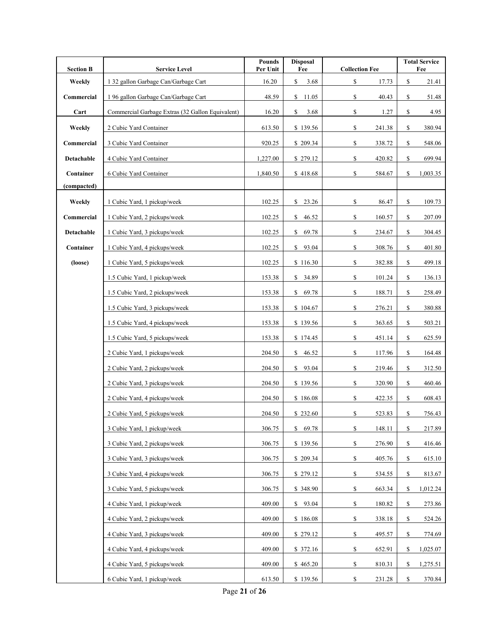| <b>Section B</b> | <b>Service Level</b>                             | <b>Pounds</b><br>Per Unit | <b>Disposal</b><br>Fee | <b>Collection Fee</b>   | <b>Total Service</b><br>Fee |
|------------------|--------------------------------------------------|---------------------------|------------------------|-------------------------|-----------------------------|
| Weekly           | 1 32 gallon Garbage Can/Garbage Cart             | 16.20                     | \$<br>3.68             | \$<br>17.73             | \$<br>21.41                 |
| Commercial       | 196 gallon Garbage Can/Garbage Cart              | 48.59                     | \$<br>11.05            | \$<br>40.43             | \$<br>51.48                 |
| Cart             | Commercial Garbage Extras (32 Gallon Equivalent) | 16.20                     | \$<br>3.68             | \$<br>1.27              | \$<br>4.95                  |
| Weekly           | 2 Cubic Yard Container                           | 613.50                    | \$139.56               | \$<br>241.38            | \$<br>380.94                |
| Commercial       | 3 Cubic Yard Container                           | 920.25                    | \$209.34               | \$<br>338.72            | 548.06<br>\$                |
| Detachable       | 4 Cubic Yard Container                           | 1,227.00                  | \$279.12               | \$<br>420.82            | \$<br>699.94                |
| Container        | 6 Cubic Yard Container                           | 1,840.50                  | \$418.68               | \$<br>584.67            | \$<br>1,003.35              |
| (compacted)      |                                                  |                           |                        |                         |                             |
| Weekly           | 1 Cubic Yard, 1 pickup/week                      | 102.25                    | \$<br>23.26            | \$<br>86.47             | \$<br>109.73                |
| Commercial       | 1 Cubic Yard, 2 pickups/week                     | 102.25                    | \$<br>46.52            | \$<br>160.57            | \$<br>207.09                |
| Detachable       | 1 Cubic Yard, 3 pickups/week                     | 102.25                    | \$69.78                | \$<br>234.67            | 304.45<br>\$                |
| Container        | 1 Cubic Yard, 4 pickups/week                     | 102.25                    | \$93.04                | \$<br>308.76            | \$<br>401.80                |
| (loose)          | 1 Cubic Yard, 5 pickups/week                     | 102.25                    | \$116.30               | \$<br>382.88            | \$<br>499.18                |
|                  | 1.5 Cubic Yard, 1 pickup/week                    | 153.38                    | \$34.89                | \$<br>101.24            | \$<br>136.13                |
|                  | 1.5 Cubic Yard, 2 pickups/week                   | 153.38                    | \$69.78                | \$<br>188.71            | \$<br>258.49                |
|                  | 1.5 Cubic Yard, 3 pickups/week                   | 153.38                    | \$104.67               | \$<br>276.21            | 380.88<br>\$                |
|                  | 1.5 Cubic Yard, 4 pickups/week                   | 153.38                    | \$139.56               | \$<br>363.65            | \$<br>503.21                |
|                  | 1.5 Cubic Yard, 5 pickups/week                   | 153.38                    | \$174.45               | \$<br>451.14            | \$<br>625.59                |
|                  | 2 Cubic Yard, 1 pickups/week                     | 204.50                    | \$46.52                | \$<br>117.96            | \$<br>164.48                |
|                  | 2 Cubic Yard, 2 pickups/week                     | 204.50                    | \$93.04                | \$<br>219.46            | \$<br>312.50                |
|                  | 2 Cubic Yard, 3 pickups/week                     | 204.50                    | \$139.56               | \$<br>320.90            | 460.46<br>\$                |
|                  | 2 Cubic Yard, 4 pickups/week                     | 204.50                    | \$186.08               | \$<br>422.35            | \$<br>608.43                |
|                  | 2 Cubic Yard, 5 pickups/week                     | 204.50                    | \$232.60               | \$<br>523.83            | \$<br>756.43                |
|                  | 3 Cubic Yard, 1 pickup/week                      | 306.75                    | \$69.78                | \$<br>148.11            | 217.89<br>\$                |
|                  | 3 Cubic Yard, 2 pickups/week                     | 306.75                    | \$139.56               | \$<br>276.90            | \$<br>416.46                |
|                  | 3 Cubic Yard, 3 pickups/week                     | 306.75                    | \$209.34               | \$<br>405.76            | \$<br>615.10                |
|                  | 3 Cubic Yard, 4 pickups/week                     | 306.75                    | \$279.12               | \$<br>534.55            | \$<br>813.67                |
|                  | 3 Cubic Yard, 5 pickups/week                     | 306.75                    | \$348.90               | \$<br>663.34            | 1,012.24<br>\$              |
|                  | 4 Cubic Yard, 1 pickup/week                      | 409.00                    | \$93.04                | \$<br>180.82            | 273.86<br>\$                |
|                  | 4 Cubic Yard, 2 pickups/week                     | 409.00                    | \$186.08               | \$<br>338.18            | \$<br>524.26                |
|                  | 4 Cubic Yard, 3 pickups/week                     | 409.00                    | \$279.12               | ${\mathbb S}$<br>495.57 | \$<br>774.69                |
|                  | 4 Cubic Yard, 4 pickups/week                     | 409.00                    | \$372.16               | \$<br>652.91            | \$<br>1,025.07              |
|                  | 4 Cubic Yard, 5 pickups/week                     | 409.00                    | \$465.20               | $\mathbb S$<br>810.31   | \$<br>1,275.51              |
|                  | 6 Cubic Yard, 1 pickup/week                      | 613.50                    | \$139.56               | \$<br>231.28            | 370.84<br>\$                |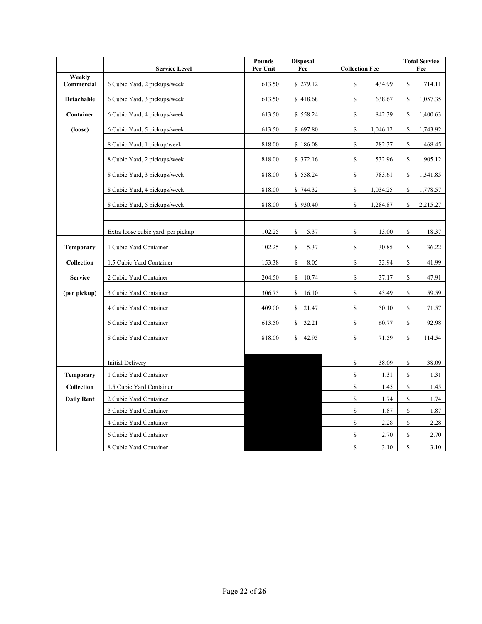|                      | <b>Service Level</b>               | <b>Pounds</b><br>Per Unit | <b>Disposal</b><br>Fee | <b>Collection Fee</b>                                | <b>Total Service</b><br>Fee |
|----------------------|------------------------------------|---------------------------|------------------------|------------------------------------------------------|-----------------------------|
| Weekly<br>Commercial |                                    |                           | \$279.12               | \$                                                   |                             |
|                      | 6 Cubic Yard, 2 pickups/week       | 613.50                    |                        | 434.99                                               | \$<br>714.11                |
| <b>Detachable</b>    | 6 Cubic Yard, 3 pickups/week       | 613.50                    | \$418.68               | \$<br>638.67                                         | \$<br>1,057.35              |
| Container            | 6 Cubic Yard, 4 pickups/week       | 613.50                    | \$558.24               | \$<br>842.39                                         | \$<br>1,400.63              |
| (loose)              | 6 Cubic Yard, 5 pickups/week       | 613.50                    | \$697.80               | $\mathbb{S}$<br>1,046.12                             | \$<br>1,743.92              |
|                      | 8 Cubic Yard, 1 pickup/week        | 818.00                    | \$186.08               | $\mathbb{S}$<br>282.37                               | \$<br>468.45                |
|                      | 8 Cubic Yard, 2 pickups/week       | 818.00                    | \$372.16               | $\mathbb S$<br>532.96                                | \$<br>905.12                |
|                      | 8 Cubic Yard, 3 pickups/week       | 818.00                    | \$558.24               | \$<br>783.61                                         | \$<br>1,341.85              |
|                      | 8 Cubic Yard, 4 pickups/week       | 818.00                    | \$744.32               | \$<br>1,034.25                                       | \$<br>1,778.57              |
|                      | 8 Cubic Yard, 5 pickups/week       | 818.00                    | \$930.40               | $\mathbb{S}$<br>1,284.87                             | \$<br>2,215.27              |
|                      |                                    |                           |                        |                                                      |                             |
|                      | Extra loose cubic yard, per pickup | 102.25                    | \$<br>5.37             | \$<br>13.00                                          | \$<br>18.37                 |
| <b>Temporary</b>     | 1 Cubic Yard Container             | 102.25                    | \$<br>5.37             | $\mathbb{S}$<br>30.85                                | \$<br>36.22                 |
| Collection           | 1.5 Cubic Yard Container           | 153.38                    | \$<br>8.05             | $\mathbb S$<br>33.94                                 | \$<br>41.99                 |
| <b>Service</b>       | 2 Cubic Yard Container             | 204.50                    | 10.74<br>\$            | $\mathbb{S}% _{n}^{X\rightarrow\mathbb{R}}$<br>37.17 | \$<br>47.91                 |
| (per pickup)         | 3 Cubic Yard Container             | 306.75                    | \$<br>16.10            | \$<br>43.49                                          | \$<br>59.59                 |
|                      | 4 Cubic Yard Container             | 409.00                    | \$<br>21.47            | \$<br>50.10                                          | \$<br>71.57                 |
|                      | 6 Cubic Yard Container             | 613.50                    | \$<br>32.21            | \$<br>60.77                                          | \$<br>92.98                 |
|                      | 8 Cubic Yard Container             | 818.00                    | 42.95<br>\$            | \$<br>71.59                                          | \$<br>114.54                |
|                      |                                    |                           |                        |                                                      |                             |
|                      | <b>Initial Delivery</b>            |                           |                        | \$<br>38.09                                          | \$<br>38.09                 |
| <b>Temporary</b>     | 1 Cubic Yard Container             |                           |                        | $\mathbb{S}$<br>1.31                                 | \$<br>1.31                  |
| <b>Collection</b>    | 1.5 Cubic Yard Container           |                           |                        | $\mathbb S$<br>1.45                                  | \$<br>1.45                  |
| <b>Daily Rent</b>    | 2 Cubic Yard Container             |                           |                        | $\mathbb{S}$<br>1.74                                 | \$<br>1.74                  |
|                      | 3 Cubic Yard Container             |                           |                        | $\mathbb S$<br>1.87                                  | \$<br>1.87                  |
|                      | 4 Cubic Yard Container             |                           |                        | \$<br>2.28                                           | \$<br>2.28                  |
|                      | 6 Cubic Yard Container             |                           |                        | $\mathbb{S}$<br>2.70                                 | \$<br>2.70                  |
|                      | 8 Cubic Yard Container             |                           |                        | \$<br>3.10                                           | \$<br>3.10                  |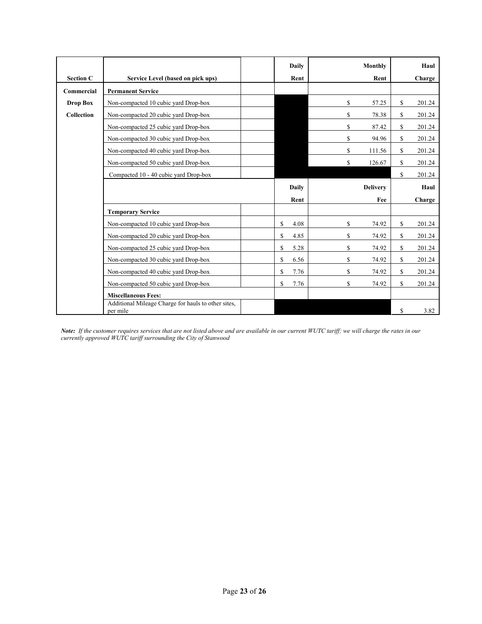|                  |                                                                 | <b>Daily</b> |    | Monthly         |              | Haul   |
|------------------|-----------------------------------------------------------------|--------------|----|-----------------|--------------|--------|
| <b>Section C</b> | Service Level (based on pick ups)                               | Rent         |    | Rent            |              | Charge |
| Commercial       | <b>Permanent Service</b>                                        |              |    |                 |              |        |
| <b>Drop Box</b>  | Non-compacted 10 cubic yard Drop-box                            |              | \$ | 57.25           | \$           | 201.24 |
| Collection       | Non-compacted 20 cubic yard Drop-box                            |              | \$ | 78.38           | S            | 201.24 |
|                  | Non-compacted 25 cubic yard Drop-box                            |              | \$ | 87.42           | S            | 201.24 |
|                  | Non-compacted 30 cubic yard Drop-box                            |              | \$ | 94.96           | \$           | 201.24 |
|                  | Non-compacted 40 cubic yard Drop-box                            |              | S  | 111.56          | S            | 201.24 |
|                  | Non-compacted 50 cubic yard Drop-box                            |              | S  | 126.67          | \$           | 201.24 |
|                  | Compacted 10 - 40 cubic yard Drop-box                           |              |    |                 | \$           | 201.24 |
|                  |                                                                 | Daily        |    | <b>Delivery</b> |              | Haul   |
|                  |                                                                 | Rent         |    | Fee             |              | Charge |
|                  | <b>Temporary Service</b>                                        |              |    |                 |              |        |
|                  | Non-compacted 10 cubic yard Drop-box                            | \$<br>4.08   | S  | 74.92           | S            | 201.24 |
|                  | Non-compacted 20 cubic yard Drop-box                            | \$<br>4.85   | \$ | 74.92           | \$           | 201.24 |
|                  | Non-compacted 25 cubic yard Drop-box                            | \$<br>5.28   | \$ | 74.92           | \$           | 201.24 |
|                  | Non-compacted 30 cubic yard Drop-box                            | \$<br>6.56   | \$ | 74.92           | \$           | 201.24 |
|                  | Non-compacted 40 cubic yard Drop-box                            | \$<br>7.76   | \$ | 74.92           | S            | 201.24 |
|                  | Non-compacted 50 cubic yard Drop-box                            | \$<br>7.76   | S  | 74.92           | $\mathbb{S}$ | 201.24 |
|                  | <b>Miscellaneous Fees:</b>                                      |              |    |                 |              |        |
|                  | Additional Mileage Charge for hauls to other sites,<br>per mile |              |    |                 | S            | 3.82   |

*Note: If the customer requires services that are not listed above and are available in our current WUTC tariff; we will charge the rates in our currently approved WUTC tariff surrounding the City of Stanwood*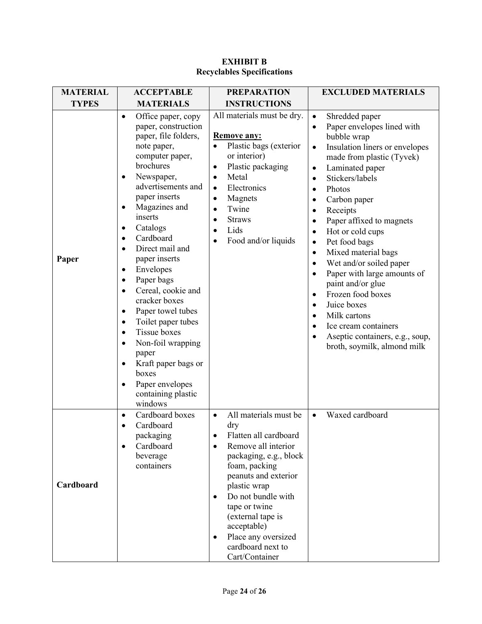| <b>MATERIAL</b> | <b>ACCEPTABLE</b>                                                                                                                                                                                                                                                                                                                                                                                                                                                                                                                                                                                                                                              | <b>PREPARATION</b>                                                                                                                                                                                                                                                                                                                              | <b>EXCLUDED MATERIALS</b>                                                                                                                                                                                                                                                                                                                                                                                                                                                                                                                                                                                                                                                                                                           |
|-----------------|----------------------------------------------------------------------------------------------------------------------------------------------------------------------------------------------------------------------------------------------------------------------------------------------------------------------------------------------------------------------------------------------------------------------------------------------------------------------------------------------------------------------------------------------------------------------------------------------------------------------------------------------------------------|-------------------------------------------------------------------------------------------------------------------------------------------------------------------------------------------------------------------------------------------------------------------------------------------------------------------------------------------------|-------------------------------------------------------------------------------------------------------------------------------------------------------------------------------------------------------------------------------------------------------------------------------------------------------------------------------------------------------------------------------------------------------------------------------------------------------------------------------------------------------------------------------------------------------------------------------------------------------------------------------------------------------------------------------------------------------------------------------------|
| <b>TYPES</b>    | <b>MATERIALS</b>                                                                                                                                                                                                                                                                                                                                                                                                                                                                                                                                                                                                                                               | <b>INSTRUCTIONS</b>                                                                                                                                                                                                                                                                                                                             |                                                                                                                                                                                                                                                                                                                                                                                                                                                                                                                                                                                                                                                                                                                                     |
| Paper           | Office paper, copy<br>$\bullet$<br>paper, construction<br>paper, file folders,<br>note paper,<br>computer paper,<br>brochures<br>Newspaper,<br>$\bullet$<br>advertisements and<br>paper inserts<br>Magazines and<br>inserts<br>Catalogs<br>٠<br>Cardboard<br>$\bullet$<br>Direct mail and<br>$\bullet$<br>paper inserts<br>Envelopes<br>$\bullet$<br>Paper bags<br>٠<br>Cereal, cookie and<br>$\bullet$<br>cracker boxes<br>Paper towel tubes<br>٠<br>Toilet paper tubes<br>$\bullet$<br>Tissue boxes<br>$\bullet$<br>Non-foil wrapping<br>$\bullet$<br>paper<br>Kraft paper bags or<br>boxes<br>Paper envelopes<br>$\bullet$<br>containing plastic<br>windows | All materials must be dry.<br><b>Remove any:</b><br>Plastic bags (exterior<br>or interior)<br>Plastic packaging<br>$\bullet$<br>Metal<br>$\bullet$<br>Electronics<br>$\bullet$<br>Magnets<br>$\bullet$<br>Twine<br>$\bullet$<br><b>Straws</b><br>$\bullet$<br>Lids<br>$\bullet$<br>Food and/or liquids                                          | Shredded paper<br>$\bullet$<br>Paper envelopes lined with<br>$\bullet$<br>bubble wrap<br>Insulation liners or envelopes<br>$\bullet$<br>made from plastic (Tyvek)<br>Laminated paper<br>$\bullet$<br>Stickers/labels<br>٠<br>Photos<br>$\bullet$<br>Carbon paper<br>Receipts<br>$\bullet$<br>Paper affixed to magnets<br>$\bullet$<br>Hot or cold cups<br>$\bullet$<br>Pet food bags<br>$\bullet$<br>Mixed material bags<br>$\bullet$<br>Wet and/or soiled paper<br>$\bullet$<br>Paper with large amounts of<br>$\bullet$<br>paint and/or glue<br>Frozen food boxes<br>$\bullet$<br>Juice boxes<br>$\bullet$<br>Milk cartons<br>$\bullet$<br>Ice cream containers<br>Aseptic containers, e.g., soup,<br>broth, soymilk, almond milk |
| Cardboard       | Cardboard boxes<br>$\bullet$<br>Cardboard<br>packaging<br>Cardboard<br>beverage<br>containers                                                                                                                                                                                                                                                                                                                                                                                                                                                                                                                                                                  | All materials must be<br>$\bullet$<br>dry<br>Flatten all cardboard<br>Remove all interior<br>packaging, e.g., block<br>foam, packing<br>peanuts and exterior<br>plastic wrap<br>Do not bundle with<br>$\bullet$<br>tape or twine<br>(external tape is<br>acceptable)<br>Place any oversized<br>$\bullet$<br>cardboard next to<br>Cart/Container | Waxed cardboard<br>$\bullet$                                                                                                                                                                                                                                                                                                                                                                                                                                                                                                                                                                                                                                                                                                        |

#### **EXHIBIT B Recyclables Specifications**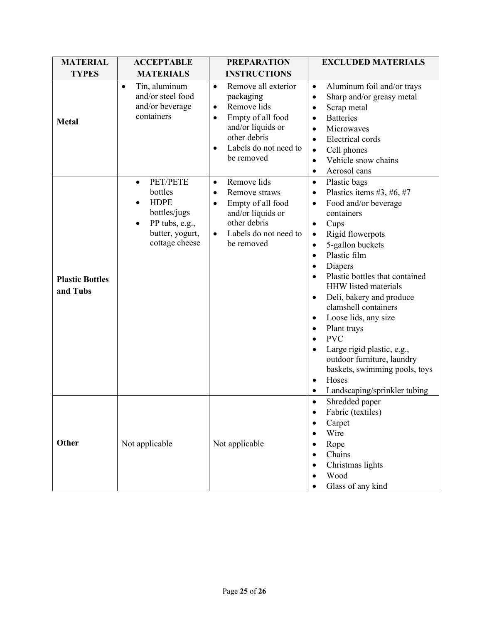| <b>MATERIAL</b>                    | <b>ACCEPTABLE</b>                                                                                                      | <b>PREPARATION</b>                                                                                                                                                                                   | <b>EXCLUDED MATERIALS</b>                                                                                                                                                                                                                                                                                                                                                                                                                                                                                                                                                          |
|------------------------------------|------------------------------------------------------------------------------------------------------------------------|------------------------------------------------------------------------------------------------------------------------------------------------------------------------------------------------------|------------------------------------------------------------------------------------------------------------------------------------------------------------------------------------------------------------------------------------------------------------------------------------------------------------------------------------------------------------------------------------------------------------------------------------------------------------------------------------------------------------------------------------------------------------------------------------|
| <b>TYPES</b>                       | <b>MATERIALS</b>                                                                                                       | <b>INSTRUCTIONS</b>                                                                                                                                                                                  |                                                                                                                                                                                                                                                                                                                                                                                                                                                                                                                                                                                    |
| <b>Metal</b>                       | Tin, aluminum<br>$\bullet$<br>and/or steel food<br>and/or beverage<br>containers                                       | Remove all exterior<br>$\bullet$<br>packaging<br>Remove lids<br>$\bullet$<br>Empty of all food<br>$\bullet$<br>and/or liquids or<br>other debris<br>Labels do not need to<br>$\bullet$<br>be removed | Aluminum foil and/or trays<br>$\bullet$<br>Sharp and/or greasy metal<br>$\bullet$<br>Scrap metal<br><b>Batteries</b><br>Microwaves<br>$\bullet$<br>Electrical cords<br>$\bullet$<br>Cell phones<br>$\bullet$<br>Vehicle snow chains<br>$\bullet$<br>Aerosol cans<br>$\bullet$                                                                                                                                                                                                                                                                                                      |
| <b>Plastic Bottles</b><br>and Tubs | PET/PETE<br>$\bullet$<br>bottles<br><b>HDPE</b><br>bottles/jugs<br>PP tubs, e.g.,<br>butter, yogurt,<br>cottage cheese | Remove lids<br>$\bullet$<br>Remove straws<br>$\bullet$<br>Empty of all food<br>$\bullet$<br>and/or liquids or<br>other debris<br>Labels do not need to<br>$\bullet$<br>be removed                    | Plastic bags<br>$\bullet$<br>Plastics items #3, #6, #7<br>Food and/or beverage<br>containers<br>Cups<br>$\bullet$<br>Rigid flowerpots<br>$\bullet$<br>5-gallon buckets<br>$\bullet$<br>Plastic film<br>$\bullet$<br>Diapers<br>$\bullet$<br>Plastic bottles that contained<br><b>HHW</b> listed materials<br>Deli, bakery and produce<br>$\bullet$<br>clamshell containers<br>Loose lids, any size<br>Plant trays<br><b>PVC</b><br>Large rigid plastic, e.g.,<br>outdoor furniture, laundry<br>baskets, swimming pools, toys<br>Hoses<br>$\bullet$<br>Landscaping/sprinkler tubing |
| Other                              | Not applicable                                                                                                         | Not applicable                                                                                                                                                                                       | Shredded paper<br>Fabric (textiles)<br>Carpet<br>Wire<br>Rope<br>Chains<br>Christmas lights<br>Wood<br>Glass of any kind                                                                                                                                                                                                                                                                                                                                                                                                                                                           |